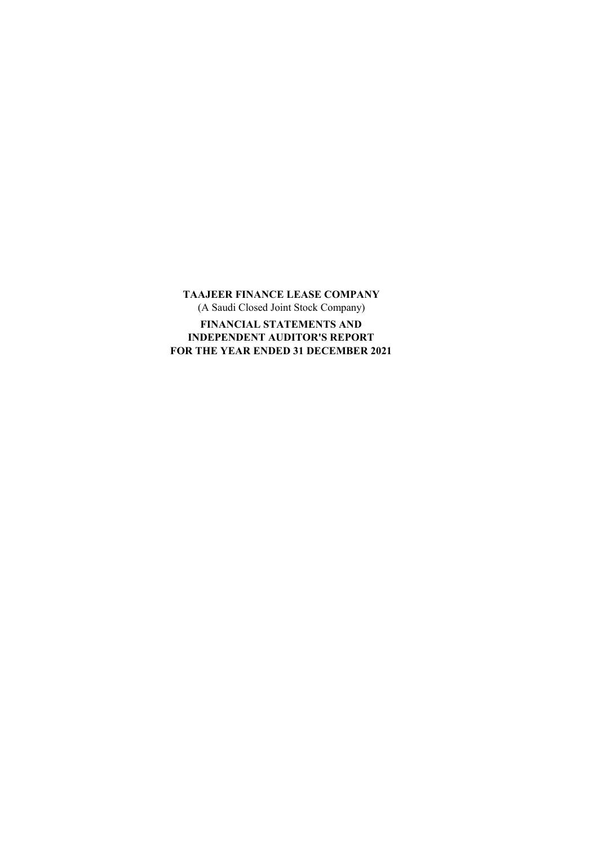**TAAJEER FINANCE LEASE COMPANY** (A Saudi Closed Joint Stock Company) **FOR THE YEAR ENDED 31 DECEMBER 2021 FINANCIAL STATEMENTS AND INDEPENDENT AUDITOR'S REPORT**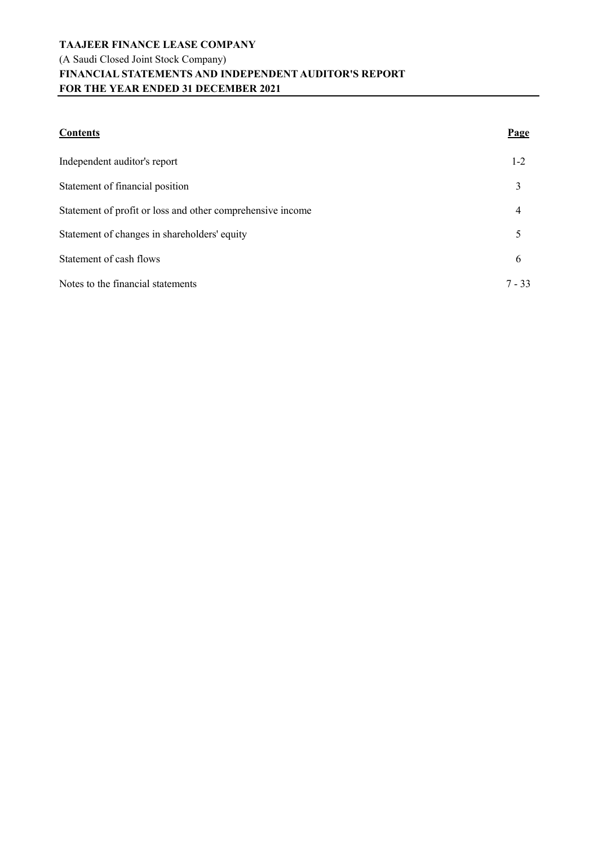# **TAAJEER FINANCE LEASE COMPANY** (A Saudi Closed Joint Stock Company) **FINANCIAL STATEMENTS AND INDEPENDENT AUDITOR'S REPORT FOR THE YEAR ENDED 31 DECEMBER 2021**

| <b>Contents</b>                                            | <b>Page</b> |
|------------------------------------------------------------|-------------|
| Independent auditor's report                               | $1 - 2$     |
| Statement of financial position                            | 3           |
| Statement of profit or loss and other comprehensive income | 4           |
| Statement of changes in shareholders' equity               | 5           |
| Statement of cash flows                                    | 6           |
| Notes to the financial statements                          | $7 - 33$    |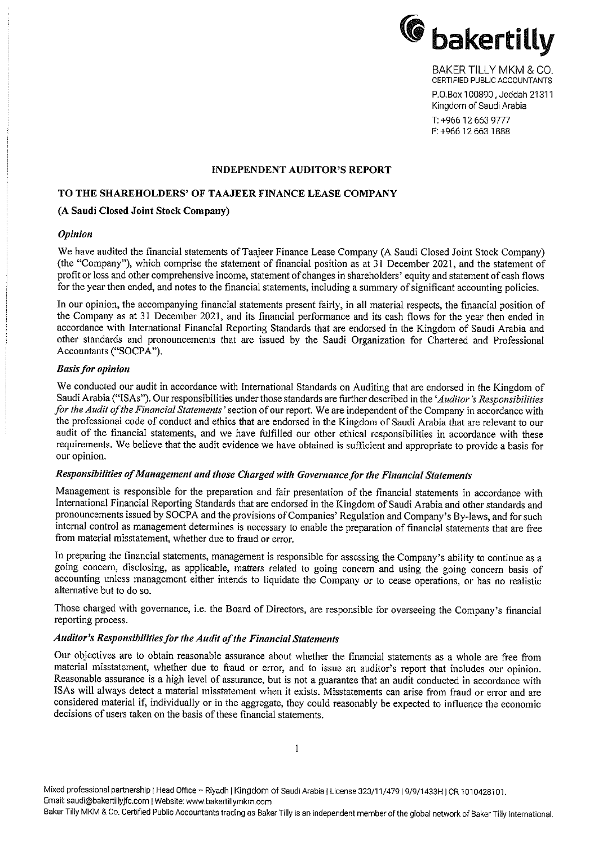

BAKER TILLY MKM & CO. CERTIFIED PUBLIC ACCOUNTANTS

P.O.Box 100890, Jeddah 21311 Kingdom of Saudi Arabia

T: +966 12 663 9777 F: +966 12 663 1888

#### **INDEPENDENT AUDITOR'S REPORT**

#### TO THE SHAREHOLDERS' OF TAAJEER FINANCE LEASE COMPANY

#### (A Saudi Closed Joint Stock Company)

#### **Opinion**

We have audited the financial statements of Taajeer Finance Lease Company (A Saudi Closed Joint Stock Company) (the "Company"), which comprise the statement of financial position as at 31 December 2021, and the statement of profit or loss and other comprehensive income, statement of changes in shareholders' equity and statement of cash flows for the year then ended, and notes to the financial statements, including a summary of significant accounting policies.

In our opinion, the accompanying financial statements present fairly, in all material respects, the financial position of the Company as at 31 December 2021, and its financial performance and its cash flows for the year then ended in accordance with International Financial Reporting Standards that are endorsed in the Kingdom of Saudi Arabia and other standards and pronouncements that are issued by the Saudi Organization for Chartered and Professional Accountants ("SOCPA").

## **Basis for opinion**

We conducted our audit in accordance with International Standards on Auditing that are endorsed in the Kingdom of Saudi Arabia ("ISAs"). Our responsibilities under those standards are further described in the 'Auditor's Responsibilities for the Audit of the Financial Statements' section of our report. We are independent of the Company in accordance with the professional code of conduct and ethics that are endorsed in the Kingdom of Saudi Arabia that are relevant to our audit of the financial statements, and we have fulfilled our other ethical responsibilities in accordance with these requirements. We believe that the audit evidence we have obtained is sufficient and appropriate to provide a basis for our opinion.

## Responsibilities of Management and those Charged with Governance for the Financial Statements

Management is responsible for the preparation and fair presentation of the financial statements in accordance with International Financial Reporting Standards that are endorsed in the Kingdom of Saudi Arabia and other standards and pronouncements issued by SOCPA and the provisions of Companies' Regulation and Company's By-laws, and for such internal control as management determines is necessary to enable the preparation of financial statements that are free from material misstatement, whether due to fraud or error.

In preparing the financial statements, management is responsible for assessing the Company's ability to continue as a going concern, disclosing, as applicable, matters related to going concern and using the going concern basis of accounting unless management either intends to liquidate the Company or to cease operations, or has no realistic alternative but to do so.

Those charged with governance, i.e. the Board of Directors, are responsible for overseeing the Company's financial reporting process.

#### **Auditor's Responsibilities for the Audit of the Financial Statements**

Our objectives are to obtain reasonable assurance about whether the financial statements as a whole are free from material misstatement, whether due to fraud or error, and to issue an auditor's report that includes our opinion. Reasonable assurance is a high level of assurance, but is not a guarantee that an audit conducted in accordance with ISAs will always detect a material misstatement when it exists. Misstatements can arise from fraud or error and are considered material if, individually or in the aggregate, they could reasonably be expected to influence the economic decisions of users taken on the basis of these financial statements.

Baker Tilly MKM & Co. Certified Public Accountants trading as Baker Tilly is an independent member of the global network of Baker Tilly International.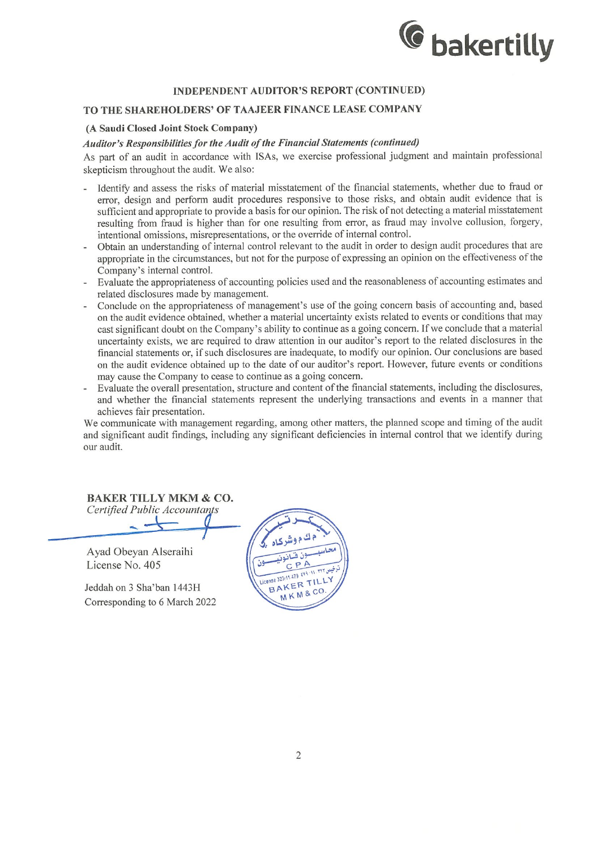

#### **INDEPENDENT AUDITOR'S REPORT (CONTINUED)**

## TO THE SHAREHOLDERS' OF TAAJEER FINANCE LEASE COMPANY

#### (A Saudi Closed Joint Stock Company)

#### Auditor's Responsibilities for the Audit of the Financial Statements (continued)

As part of an audit in accordance with ISAs, we exercise professional judgment and maintain professional skepticism throughout the audit. We also:

- Identify and assess the risks of material misstatement of the financial statements, whether due to fraud or error, design and perform audit procedures responsive to those risks, and obtain audit evidence that is sufficient and appropriate to provide a basis for our opinion. The risk of not detecting a material misstatement resulting from fraud is higher than for one resulting from error, as fraud may involve collusion, forgery, intentional omissions, misrepresentations, or the override of internal control.
- Obtain an understanding of internal control relevant to the audit in order to design audit procedures that are appropriate in the circumstances, but not for the purpose of expressing an opinion on the effectiveness of the Company's internal control.
- Evaluate the appropriateness of accounting policies used and the reasonableness of accounting estimates and related disclosures made by management.
- Conclude on the appropriateness of management's use of the going concern basis of accounting and, based on the audit evidence obtained, whether a material uncertainty exists related to events or conditions that may cast significant doubt on the Company's ability to continue as a going concern. If we conclude that a material uncertainty exists, we are required to draw attention in our auditor's report to the related disclosures in the financial statements or, if such disclosures are inadequate, to modify our opinion. Our conclusions are based on the audit evidence obtained up to the date of our auditor's report. However, future events or conditions may cause the Company to cease to continue as a going concern.
- Evaluate the overall presentation, structure and content of the financial statements, including the disclosures, and whether the financial statements represent the underlying transactions and events in a manner that achieves fair presentation.

We communicate with management regarding, among other matters, the planned scope and timing of the audit and significant audit findings, including any significant deficiencies in internal control that we identify during our audit.

BAKER TILLY MKM & CO. **Certified Public Accountants** 

Ayad Obeyan Alseraihi License No. 405

Jeddah on 3 Sha'ban 1443H Corresponding to 6 March 2022

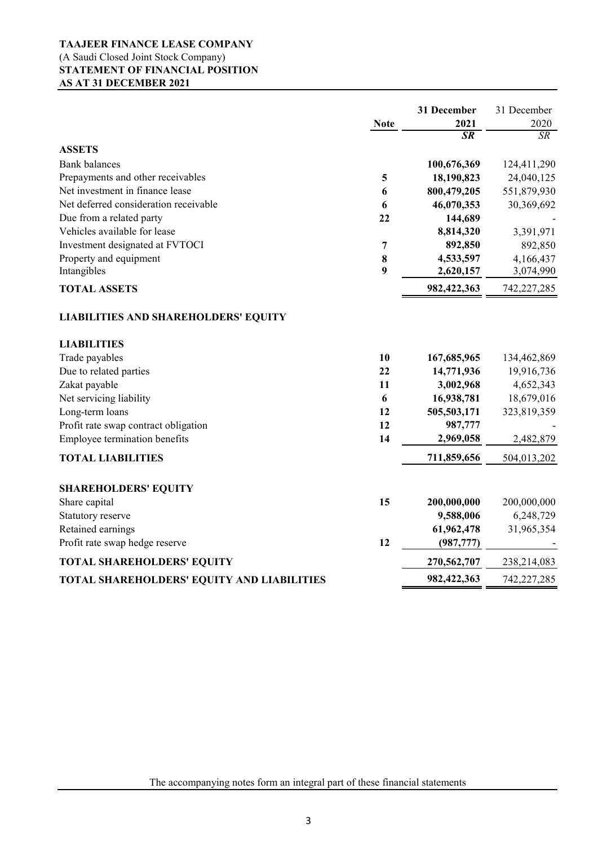# **TAAJEER FINANCE LEASE COMPANY** (A Saudi Closed Joint Stock Company) **STATEMENT OF FINANCIAL POSITION AS AT 31 DECEMBER 2021**

|                                             |             | 31 December     | 31 December     |
|---------------------------------------------|-------------|-----------------|-----------------|
|                                             | <b>Note</b> | 2021            | 2020            |
|                                             |             | $\overline{SR}$ | $\overline{SR}$ |
| <b>ASSETS</b>                               |             |                 |                 |
| <b>Bank</b> balances                        |             | 100,676,369     | 124,411,290     |
| Prepayments and other receivables           | 5           | 18,190,823      | 24,040,125      |
| Net investment in finance lease             | 6           | 800,479,205     | 551,879,930     |
| Net deferred consideration receivable       | 6           | 46,070,353      | 30,369,692      |
| Due from a related party                    | 22          | 144,689         |                 |
| Vehicles available for lease                |             | 8,814,320       | 3,391,971       |
| Investment designated at FVTOCI             | 7           | 892,850         | 892,850         |
| Property and equipment                      | 8           | 4,533,597       | 4,166,437       |
| Intangibles                                 | 9           | 2,620,157       | 3,074,990       |
| <b>TOTAL ASSETS</b>                         |             | 982,422,363     | 742,227,285     |
| <b>LIABILITIES AND SHAREHOLDERS' EQUITY</b> |             |                 |                 |
| <b>LIABILITIES</b>                          |             |                 |                 |
| Trade payables                              | 10          | 167,685,965     | 134,462,869     |
| Due to related parties                      | 22          | 14,771,936      | 19,916,736      |
| Zakat payable                               | 11          | 3,002,968       | 4,652,343       |
| Net servicing liability                     | 6           | 16,938,781      | 18,679,016      |
| Long-term loans                             | 12          | 505,503,171     | 323,819,359     |
| Profit rate swap contract obligation        | 12          | 987,777         |                 |
| Employee termination benefits               | 14          | 2,969,058       | 2,482,879       |
| <b>TOTAL LIABILITIES</b>                    |             | 711,859,656     | 504,013,202     |
| <b>SHAREHOLDERS' EQUITY</b>                 |             |                 |                 |
| Share capital                               | 15          | 200,000,000     | 200,000,000     |
| Statutory reserve                           |             | 9,588,006       | 6,248,729       |
| Retained earnings                           |             | 61,962,478      | 31,965,354      |
| Profit rate swap hedge reserve              | 12          | (987, 777)      |                 |
| TOTAL SHAREHOLDERS' EQUITY                  |             | 270,562,707     | 238,214,083     |
| TOTAL SHAREHOLDERS' EQUITY AND LIABILITIES  |             | 982,422,363     | 742,227,285     |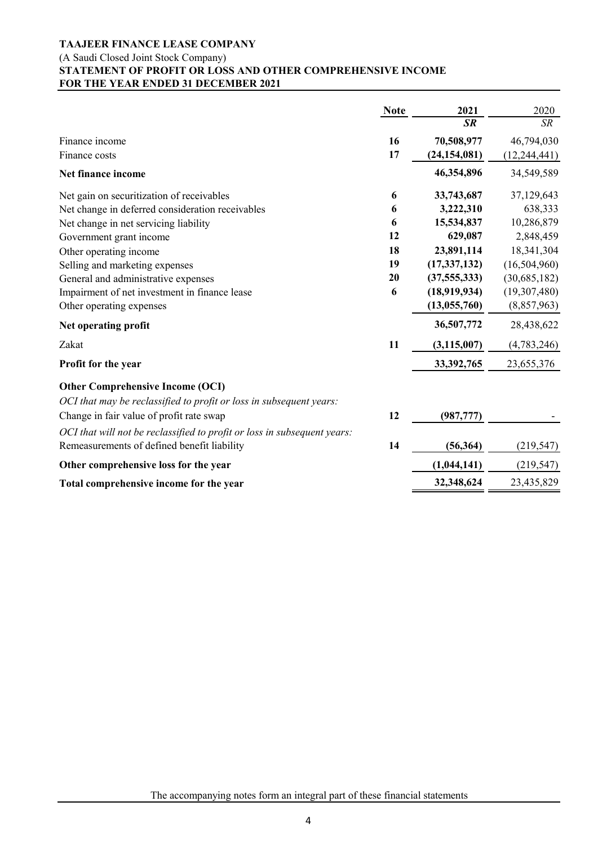# **TAAJEER FINANCE LEASE COMPANY**

## (A Saudi Closed Joint Stock Company)

# **STATEMENT OF PROFIT OR LOSS AND OTHER COMPREHENSIVE INCOME FOR THE YEAR ENDED 31 DECEMBER 2021**

|                                                                          | <b>Note</b> | 2021           | 2020           |
|--------------------------------------------------------------------------|-------------|----------------|----------------|
|                                                                          |             | <b>SR</b>      | <b>SR</b>      |
| Finance income                                                           | 16          | 70,508,977     | 46,794,030     |
| Finance costs                                                            | 17          | (24, 154, 081) | (12, 244, 441) |
| Net finance income                                                       |             | 46,354,896     | 34,549,589     |
| Net gain on securitization of receivables                                | 6           | 33,743,687     | 37,129,643     |
| Net change in deferred consideration receivables                         | 6           | 3,222,310      | 638,333        |
| Net change in net servicing liability                                    | 6           | 15,534,837     | 10,286,879     |
| Government grant income                                                  | 12          | 629,087        | 2,848,459      |
| Other operating income                                                   | 18          | 23,891,114     | 18,341,304     |
| Selling and marketing expenses                                           | 19          | (17, 337, 132) | (16,504,960)   |
| General and administrative expenses                                      | 20          | (37, 555, 333) | (30,685,182)   |
| Impairment of net investment in finance lease                            | 6           | (18,919,934)   | (19,307,480)   |
| Other operating expenses                                                 |             | (13,055,760)   | (8,857,963)    |
| Net operating profit                                                     |             | 36,507,772     | 28,438,622     |
| Zakat                                                                    | 11          | (3, 115, 007)  | (4,783,246)    |
| Profit for the year                                                      |             | 33,392,765     | 23,655,376     |
| <b>Other Comprehensive Income (OCI)</b>                                  |             |                |                |
| OCI that may be reclassified to profit or loss in subsequent years:      |             |                |                |
| Change in fair value of profit rate swap                                 | 12          | (987, 777)     |                |
| OCI that will not be reclassified to profit or loss in subsequent years: |             |                |                |
| Remeasurements of defined benefit liability                              | 14          | (56, 364)      | (219, 547)     |
| Other comprehensive loss for the year                                    |             | (1,044,141)    | (219, 547)     |
| Total comprehensive income for the year                                  |             | 32,348,624     | 23,435,829     |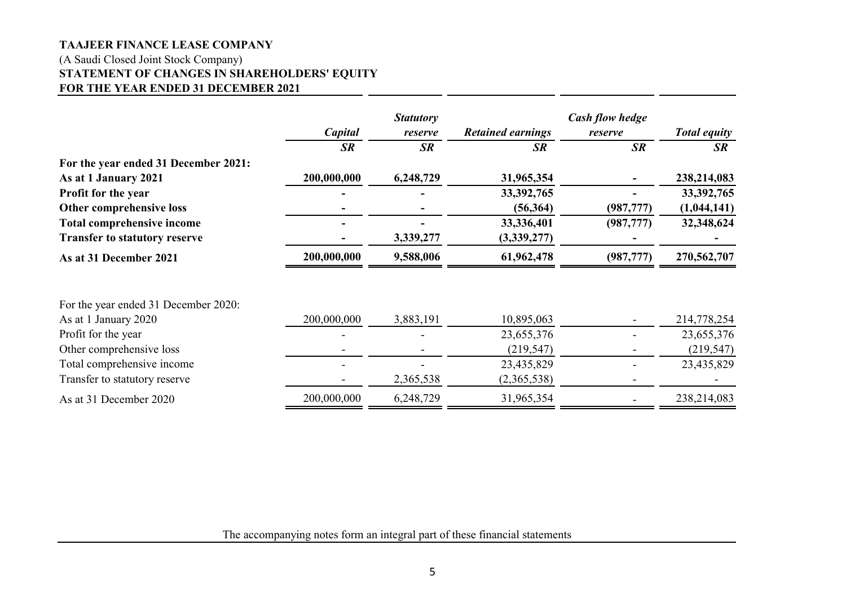# **TAAJEER FINANCE LEASE COMPANY** (A Saudi Closed Joint Stock Company) **STATEMENT OF CHANGES IN SHAREHOLDERS' EQUITY FOR THE YEAR ENDED 31 DECEMBER 2021**

|                                      |             | <b>Statutory</b> |                          | Cash flow hedge          |                     |
|--------------------------------------|-------------|------------------|--------------------------|--------------------------|---------------------|
|                                      | Capital     | reserve          | <b>Retained earnings</b> | reserve                  | <b>Total equity</b> |
|                                      | <b>SR</b>   | <b>SR</b>        | SR                       | <b>SR</b>                | SR                  |
| For the year ended 31 December 2021: |             |                  |                          |                          |                     |
| As at 1 January 2021                 | 200,000,000 | 6,248,729        | 31,965,354               |                          | 238,214,083         |
| Profit for the year                  |             |                  | 33, 392, 765             |                          | 33, 392, 765        |
| Other comprehensive loss             |             |                  | (56, 364)                | (987, 777)               | (1,044,141)         |
| <b>Total comprehensive income</b>    |             |                  | 33, 336, 401             | (987, 777)               | 32,348,624          |
| <b>Transfer to statutory reserve</b> |             | 3,339,277        | (3,339,277)              |                          |                     |
| As at 31 December 2021               | 200,000,000 | 9,588,006        | 61,962,478               | (987, 777)               | 270,562,707         |
|                                      |             |                  |                          |                          |                     |
| For the year ended 31 December 2020: |             |                  |                          |                          |                     |
| As at 1 January 2020                 | 200,000,000 | 3,883,191        | 10,895,063               |                          | 214,778,254         |
| Profit for the year                  |             |                  | 23,655,376               |                          | 23,655,376          |
| Other comprehensive loss             |             |                  | (219, 547)               |                          | (219, 547)          |
| Total comprehensive income           |             |                  | 23,435,829               |                          | 23,435,829          |
| Transfer to statutory reserve        |             | 2,365,538        | (2,365,538)              | $\overline{\phantom{a}}$ |                     |
| As at 31 December 2020               | 200,000,000 | 6,248,729        | 31,965,354               |                          | 238,214,083         |

The accompanying notes form an integral part of these financial statements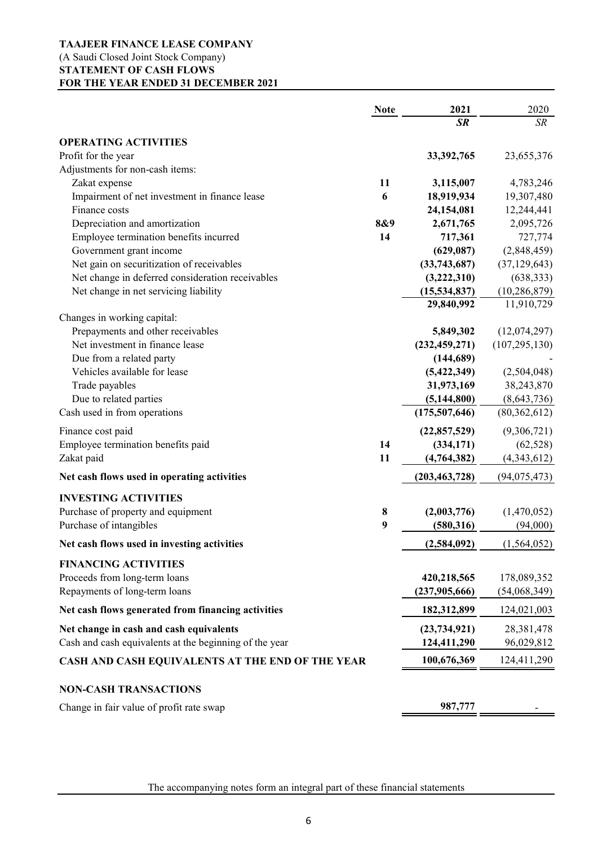# **TAAJEER FINANCE LEASE COMPANY** (A Saudi Closed Joint Stock Company)

# **STATEMENT OF CASH FLOWS FOR THE YEAR ENDED 31 DECEMBER 2021**

|                                                        | <b>Note</b> | 2021            | 2020            |
|--------------------------------------------------------|-------------|-----------------|-----------------|
|                                                        |             | <b>SR</b>       | SR              |
| <b>OPERATING ACTIVITIES</b>                            |             |                 |                 |
| Profit for the year                                    |             | 33,392,765      | 23,655,376      |
| Adjustments for non-cash items:                        |             |                 |                 |
| Zakat expense                                          | 11          | 3,115,007       | 4,783,246       |
| Impairment of net investment in finance lease          | 6           | 18,919,934      | 19,307,480      |
| Finance costs                                          |             | 24,154,081      | 12,244,441      |
| Depreciation and amortization                          | 8&9         | 2,671,765       | 2,095,726       |
| Employee termination benefits incurred                 | 14          | 717,361         | 727,774         |
| Government grant income                                |             | (629, 087)      | (2,848,459)     |
| Net gain on securitization of receivables              |             | (33,743,687)    | (37, 129, 643)  |
| Net change in deferred consideration receivables       |             | (3,222,310)     | (638, 333)      |
| Net change in net servicing liability                  |             | (15, 534, 837)  | (10, 286, 879)  |
|                                                        |             | 29,840,992      | 11,910,729      |
| Changes in working capital:                            |             |                 |                 |
| Prepayments and other receivables                      |             | 5,849,302       | (12,074,297)    |
| Net investment in finance lease                        |             | (232, 459, 271) | (107, 295, 130) |
| Due from a related party                               |             | (144, 689)      |                 |
| Vehicles available for lease                           |             | (5,422,349)     | (2,504,048)     |
| Trade payables                                         |             | 31,973,169      | 38,243,870      |
| Due to related parties                                 |             | (5,144,800)     | (8,643,736)     |
| Cash used in from operations                           |             | (175, 507, 646) | (80, 362, 612)  |
| Finance cost paid                                      |             | (22, 857, 529)  | (9,306,721)     |
| Employee termination benefits paid                     | 14          | (334, 171)      | (62, 528)       |
| Zakat paid                                             | 11          | (4,764,382)     | (4,343,612)     |
| Net cash flows used in operating activities            |             | (203, 463, 728) | (94, 075, 473)  |
|                                                        |             |                 |                 |
| <b>INVESTING ACTIVITIES</b>                            |             |                 |                 |
| Purchase of property and equipment                     | 8           | (2,003,776)     | (1,470,052)     |
| Purchase of intangibles                                | 9           | (580, 316)      | (94,000)        |
| Net cash flows used in investing activities            |             | (2,584,092)     | (1, 564, 052)   |
| <b>FINANCING ACTIVITIES</b>                            |             |                 |                 |
| Proceeds from long-term loans                          |             | 420,218,565     | 178,089,352     |
| Repayments of long-term loans                          |             | (237, 905, 666) | (54,068,349)    |
| Net cash flows generated from financing activities     |             | 182,312,899     | 124,021,003     |
|                                                        |             |                 |                 |
| Net change in cash and cash equivalents                |             | (23, 734, 921)  | 28,381,478      |
| Cash and cash equivalents at the beginning of the year |             | 124,411,290     | 96,029,812      |
| CASH AND CASH EQUIVALENTS AT THE END OF THE YEAR       |             | 100,676,369     | 124,411,290     |
| <b>NON-CASH TRANSACTIONS</b>                           |             |                 |                 |
|                                                        |             |                 |                 |
| Change in fair value of profit rate swap               |             | 987,777         |                 |

The accompanying notes form an integral part of these financial statements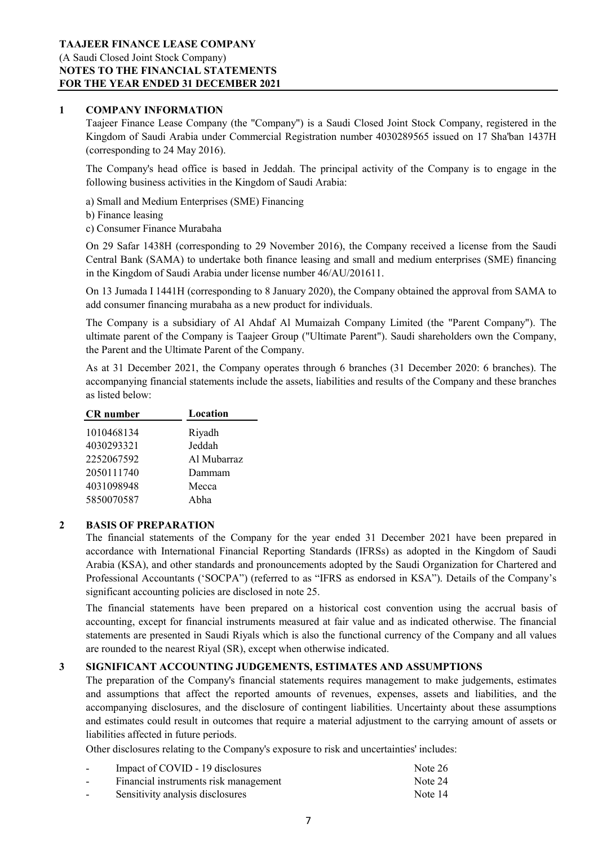# **1 COMPANY INFORMATION**

Taajeer Finance Lease Company (the "Company") is a Saudi Closed Joint Stock Company, registered in the Kingdom of Saudi Arabia under Commercial Registration number 4030289565 issued on 17 Sha'ban 1437H (corresponding to 24 May 2016).

The Company's head office is based in Jeddah. The principal activity of the Company is to engage in the following business activities in the Kingdom of Saudi Arabia:

a) Small and Medium Enterprises (SME) Financing

- b) Finance leasing
- c) Consumer Finance Murabaha

On 29 Safar 1438H (corresponding to 29 November 2016), the Company received a license from the Saudi Central Bank (SAMA) to undertake both finance leasing and small and medium enterprises (SME) financing in the Kingdom of Saudi Arabia under license number 46/AU/201611.

On 13 Jumada I 1441H (corresponding to 8 January 2020), the Company obtained the approval from SAMA to add consumer financing murabaha as a new product for individuals.

The Company is a subsidiary of Al Ahdaf Al Mumaizah Company Limited (the "Parent Company"). The ultimate parent of the Company is Taajeer Group ("Ultimate Parent"). Saudi shareholders own the Company, the Parent and the Ultimate Parent of the Company.

As at 31 December 2021, the Company operates through 6 branches (31 December 2020: 6 branches). The accompanying financial statements include the assets, liabilities and results of the Company and these branches as listed below:

| <b>CR</b> number | Location     |
|------------------|--------------|
| 1010468134       | Riyadh       |
| 4030293321       | Jeddah       |
| 2252067592       | Al Mubarraz  |
| 2050111740       | Dammam       |
| 4031098948       | <b>Mecca</b> |
| 5850070587       | Abha         |

# **2 BASIS OF PREPARATION**

The financial statements of the Company for the year ended 31 December 2021 have been prepared in accordance with International Financial Reporting Standards (IFRSs) as adopted in the Kingdom of Saudi Arabia (KSA), and other standards and pronouncements adopted by the Saudi Organization for Chartered and Professional Accountants ('SOCPA") (referred to as "IFRS as endorsed in KSA"). Details of the Company's significant accounting policies are disclosed in note 25.

The financial statements have been prepared on a historical cost convention using the accrual basis of accounting, except for financial instruments measured at fair value and as indicated otherwise. The financial statements are presented in Saudi Riyals which is also the functional currency of the Company and all values are rounded to the nearest Riyal (SR), except when otherwise indicated.

# **3 SIGNIFICANT ACCOUNTING JUDGEMENTS, ESTIMATES AND ASSUMPTIONS**

The preparation of the Company's financial statements requires management to make judgements, estimates and assumptions that affect the reported amounts of revenues, expenses, assets and liabilities, and the accompanying disclosures, and the disclosure of contingent liabilities. Uncertainty about these assumptions and estimates could result in outcomes that require a material adjustment to the carrying amount of assets or liabilities affected in future periods.

Other disclosures relating to the Company's exposure to risk and uncertainties' includes:

| $\sim$ | Impact of COVID - 19 disclosures      | Note 26 |
|--------|---------------------------------------|---------|
| $\sim$ | Financial instruments risk management | Note 24 |
| $\sim$ | Sensitivity analysis disclosures      | Note 14 |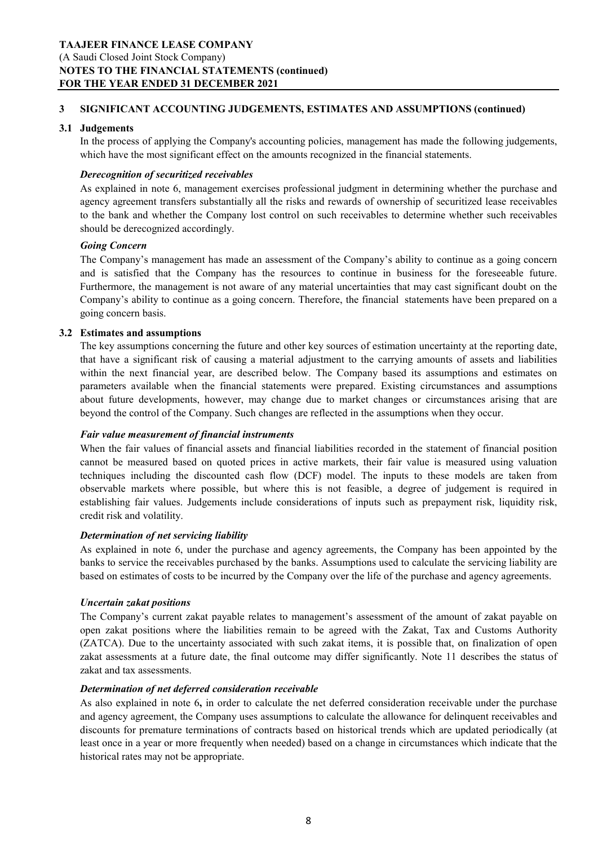# **3 SIGNIFICANT ACCOUNTING JUDGEMENTS, ESTIMATES AND ASSUMPTIONS (continued)**

# **3.1 Judgements**

In the process of applying the Company's accounting policies, management has made the following judgements, which have the most significant effect on the amounts recognized in the financial statements.

# *Derecognition of securitized receivables*

As explained in note 6, management exercises professional judgment in determining whether the purchase and agency agreement transfers substantially all the risks and rewards of ownership of securitized lease receivables to the bank and whether the Company lost control on such receivables to determine whether such receivables should be derecognized accordingly.

# *Going Concern*

The Company's management has made an assessment of the Company's ability to continue as a going concern and is satisfied that the Company has the resources to continue in business for the foreseeable future. Furthermore, the management is not aware of any material uncertainties that may cast significant doubt on the Company's ability to continue as a going concern. Therefore, the financial statements have been prepared on a going concern basis.

# **3.2 Estimates and assumptions**

The key assumptions concerning the future and other key sources of estimation uncertainty at the reporting date, that have a significant risk of causing a material adjustment to the carrying amounts of assets and liabilities within the next financial year, are described below. The Company based its assumptions and estimates on parameters available when the financial statements were prepared. Existing circumstances and assumptions about future developments, however, may change due to market changes or circumstances arising that are beyond the control of the Company. Such changes are reflected in the assumptions when they occur.

# *Fair value measurement of financial instruments*

When the fair values of financial assets and financial liabilities recorded in the statement of financial position cannot be measured based on quoted prices in active markets, their fair value is measured using valuation techniques including the discounted cash flow (DCF) model. The inputs to these models are taken from observable markets where possible, but where this is not feasible, a degree of judgement is required in establishing fair values. Judgements include considerations of inputs such as prepayment risk, liquidity risk, credit risk and volatility.

# *Determination of net servicing liability*

As explained in note 6, under the purchase and agency agreements, the Company has been appointed by the banks to service the receivables purchased by the banks. Assumptions used to calculate the servicing liability are based on estimates of costs to be incurred by the Company over the life of the purchase and agency agreements.

# *Uncertain zakat positions*

The Company's current zakat payable relates to management's assessment of the amount of zakat payable on open zakat positions where the liabilities remain to be agreed with the Zakat, Tax and Customs Authority (ZATCA). Due to the uncertainty associated with such zakat items, it is possible that, on finalization of open zakat assessments at a future date, the final outcome may differ significantly. Note 11 describes the status of zakat and tax assessments.

# *Determination of net deferred consideration receivable*

As also explained in note 6**,** in order to calculate the net deferred consideration receivable under the purchase and agency agreement, the Company uses assumptions to calculate the allowance for delinquent receivables and discounts for premature terminations of contracts based on historical trends which are updated periodically (at least once in a year or more frequently when needed) based on a change in circumstances which indicate that the historical rates may not be appropriate.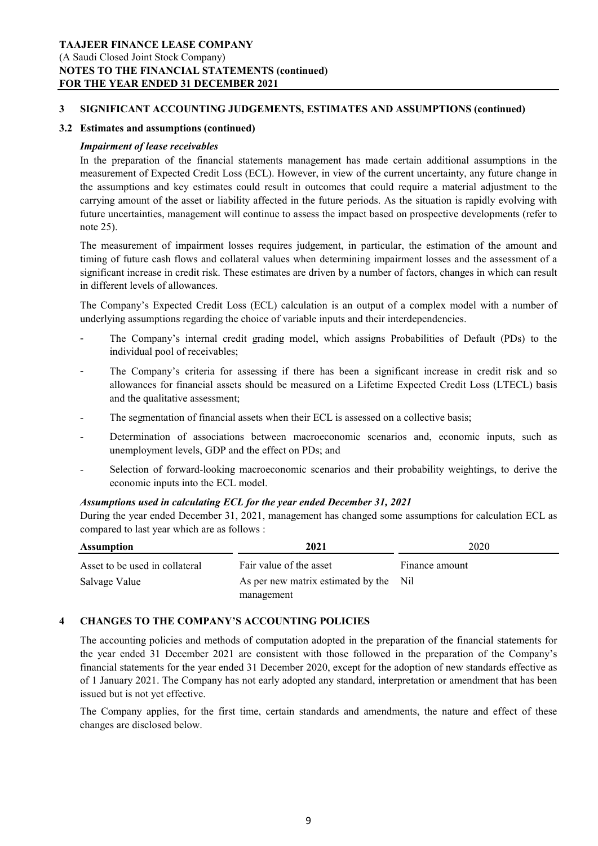# **3 SIGNIFICANT ACCOUNTING JUDGEMENTS, ESTIMATES AND ASSUMPTIONS (continued)**

# **3.2 Estimates and assumptions (continued)**

# *Impairment of lease receivables*

In the preparation of the financial statements management has made certain additional assumptions in the measurement of Expected Credit Loss (ECL). However, in view of the current uncertainty, any future change in the assumptions and key estimates could result in outcomes that could require a material adjustment to the carrying amount of the asset or liability affected in the future periods. As the situation is rapidly evolving with future uncertainties, management will continue to assess the impact based on prospective developments (refer to note 25).

The measurement of impairment losses requires judgement, in particular, the estimation of the amount and timing of future cash flows and collateral values when determining impairment losses and the assessment of a significant increase in credit risk. These estimates are driven by a number of factors, changes in which can result in different levels of allowances.

The Company's Expected Credit Loss (ECL) calculation is an output of a complex model with a number of underlying assumptions regarding the choice of variable inputs and their interdependencies.

- The Company's internal credit grading model, which assigns Probabilities of Default (PDs) to the individual pool of receivables;
- The Company's criteria for assessing if there has been a significant increase in credit risk and so allowances for financial assets should be measured on a Lifetime Expected Credit Loss (LTECL) basis and the qualitative assessment;
- The segmentation of financial assets when their ECL is assessed on a collective basis;
- Determination of associations between macroeconomic scenarios and, economic inputs, such as unemployment levels, GDP and the effect on PDs; and
- Selection of forward-looking macroeconomic scenarios and their probability weightings, to derive the economic inputs into the ECL model.

# *Assumptions used in calculating ECL for the year ended December 31, 2021*

During the year ended December 31, 2021, management has changed some assumptions for calculation ECL as compared to last year which are as follows :

| <b>Assumption</b>              | 2021                                   | 2020           |
|--------------------------------|----------------------------------------|----------------|
| Asset to be used in collateral | Fair value of the asset                | Finance amount |
| Salvage Value                  | As per new matrix estimated by the Nil |                |
|                                | management                             |                |

# **4 CHANGES TO THE COMPANY'S ACCOUNTING POLICIES**

The accounting policies and methods of computation adopted in the preparation of the financial statements for the year ended 31 December 2021 are consistent with those followed in the preparation of the Company's financial statements for the year ended 31 December 2020, except for the adoption of new standards effective as of 1 January 2021. The Company has not early adopted any standard, interpretation or amendment that has been issued but is not yet effective.

The Company applies, for the first time, certain standards and amendments, the nature and effect of these changes are disclosed below.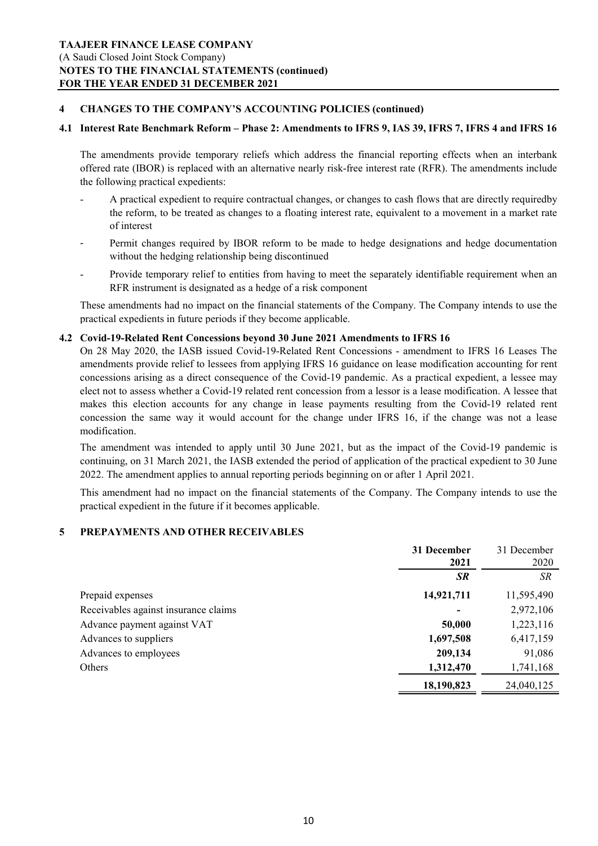# **4 CHANGES TO THE COMPANY'S ACCOUNTING POLICIES (continued)**

# **4.1 Interest Rate Benchmark Reform – Phase 2: Amendments to IFRS 9, IAS 39, IFRS 7, IFRS 4 and IFRS 16**

The amendments provide temporary reliefs which address the financial reporting effects when an interbank offered rate (IBOR) is replaced with an alternative nearly risk-free interest rate (RFR). The amendments include the following practical expedients:

- A practical expedient to require contractual changes, or changes to cash flows that are directly requiredby the reform, to be treated as changes to a floating interest rate, equivalent to a movement in a market rate of interest
- Permit changes required by IBOR reform to be made to hedge designations and hedge documentation without the hedging relationship being discontinued
- Provide temporary relief to entities from having to meet the separately identifiable requirement when an RFR instrument is designated as a hedge of a risk component

These amendments had no impact on the financial statements of the Company. The Company intends to use the practical expedients in future periods if they become applicable.

## **4.2 Covid-19-Related Rent Concessions beyond 30 June 2021 Amendments to IFRS 16**

On 28 May 2020, the IASB issued Covid-19-Related Rent Concessions - amendment to IFRS 16 Leases The amendments provide relief to lessees from applying IFRS 16 guidance on lease modification accounting for rent concessions arising as a direct consequence of the Covid-19 pandemic. As a practical expedient, a lessee may elect not to assess whether a Covid-19 related rent concession from a lessor is a lease modification. A lessee that makes this election accounts for any change in lease payments resulting from the Covid-19 related rent concession the same way it would account for the change under IFRS 16, if the change was not a lease modification.

The amendment was intended to apply until 30 June 2021, but as the impact of the Covid-19 pandemic is continuing, on 31 March 2021, the IASB extended the period of application of the practical expedient to 30 June 2022. The amendment applies to annual reporting periods beginning on or after 1 April 2021.

This amendment had no impact on the financial statements of the Company. The Company intends to use the practical expedient in the future if it becomes applicable.

# **5 PREPAYMENTS AND OTHER RECEIVABLES**

|                                      | 31 December | 31 December |
|--------------------------------------|-------------|-------------|
|                                      | 2021        | 2020        |
|                                      | SR          | SR          |
| Prepaid expenses                     | 14,921,711  | 11,595,490  |
| Receivables against insurance claims |             | 2,972,106   |
| Advance payment against VAT          | 50,000      | 1,223,116   |
| Advances to suppliers                | 1,697,508   | 6,417,159   |
| Advances to employees                | 209,134     | 91,086      |
| Others                               | 1,312,470   | 1,741,168   |
|                                      | 18,190,823  | 24,040,125  |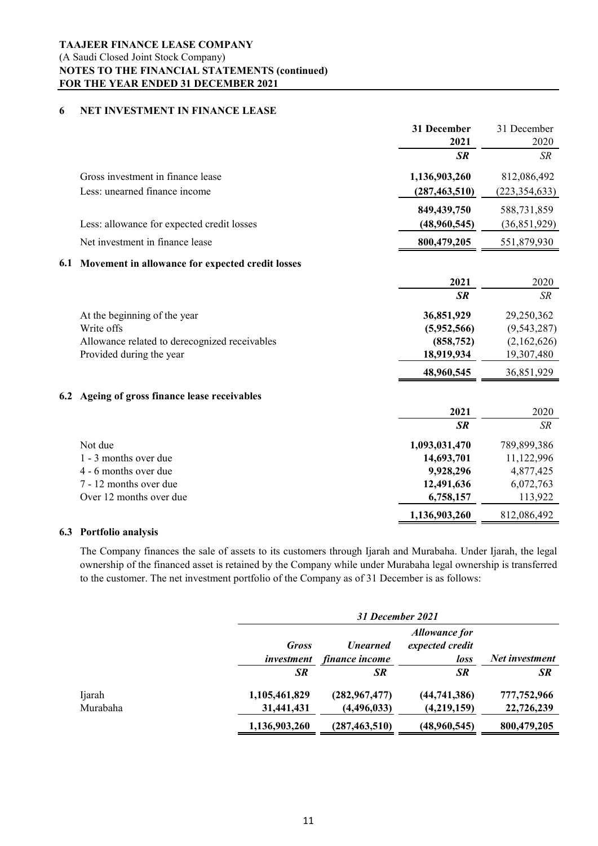# **TAAJEER FINANCE LEASE COMPANY** (A Saudi Closed Joint Stock Company) **NOTES TO THE FINANCIAL STATEMENTS (continued) FOR THE YEAR ENDED 31 DECEMBER 2021**

# **6 NET INVESTMENT IN FINANCE LEASE**

|                                                      | 31 December<br>2021 | 31 December<br>2020 |
|------------------------------------------------------|---------------------|---------------------|
|                                                      | <b>SR</b>           | <b>SR</b>           |
| Gross investment in finance lease                    | 1,136,903,260       | 812,086,492         |
| Less: unearned finance income                        | (287, 463, 510)     | (223, 354, 633)     |
|                                                      | 849,439,750         | 588,731,859         |
| Less: allowance for expected credit losses           | (48,960,545)        | (36,851,929)        |
| Net investment in finance lease                      | 800,479,205         | 551,879,930         |
| 6.1 Movement in allowance for expected credit losses |                     |                     |
|                                                      | 2021                | 2020                |
|                                                      | <b>SR</b>           | <b>SR</b>           |
| At the beginning of the year                         | 36,851,929          | 29,250,362          |
| Write offs                                           | (5,952,566)         | (9, 543, 287)       |
| Allowance related to derecognized receivables        | (858, 752)          | (2,162,626)         |
| Provided during the year                             | 18,919,934          | 19,307,480          |
|                                                      | 48,960,545          | 36,851,929          |
| Ageing of gross finance lease receivables<br>6.2     |                     |                     |
|                                                      | 2021                | 2020                |
|                                                      | SR                  | SR                  |
| Not due                                              | 1,093,031,470       | 789,899,386         |
| 1 - 3 months over due                                | 14,693,701          | 11,122,996          |
| 4 - 6 months over due                                | 9,928,296           | 4,877,425           |
| 7 - 12 months over due                               | 12,491,636          | 6,072,763           |
| Over 12 months over due                              | 6,758,157           | 113,922             |
|                                                      | 1,136,903,260       | 812,086,492         |

# **6.3 Portfolio analysis**

The Company finances the sale of assets to its customers through Ijarah and Murabaha. Under Ijarah, the legal ownership of the financed asset is retained by the Company while under Murabaha legal ownership is transferred to the customer. The net investment portfolio of the Company as of 31 December is as follows:

|                    |                             | 31 December 2021                  |                                                 |                           |  |
|--------------------|-----------------------------|-----------------------------------|-------------------------------------------------|---------------------------|--|
|                    | <b>Gross</b><br>investment  | <b>Unearned</b><br>finance income | <b>Allowance</b> for<br>expected credit<br>loss | Net investment            |  |
|                    | <b>SR</b>                   | <b>SR</b>                         | <b>SR</b>                                       | <b>SR</b>                 |  |
| Ijarah<br>Murabaha | 1,105,461,829<br>31,441,431 | (282, 967, 477)<br>(4, 496, 033)  | (44, 741, 386)<br>(4,219,159)                   | 777,752,966<br>22,726,239 |  |
|                    | 1,136,903,260               | (287, 463, 510)                   | (48,960,545)                                    | 800,479,205               |  |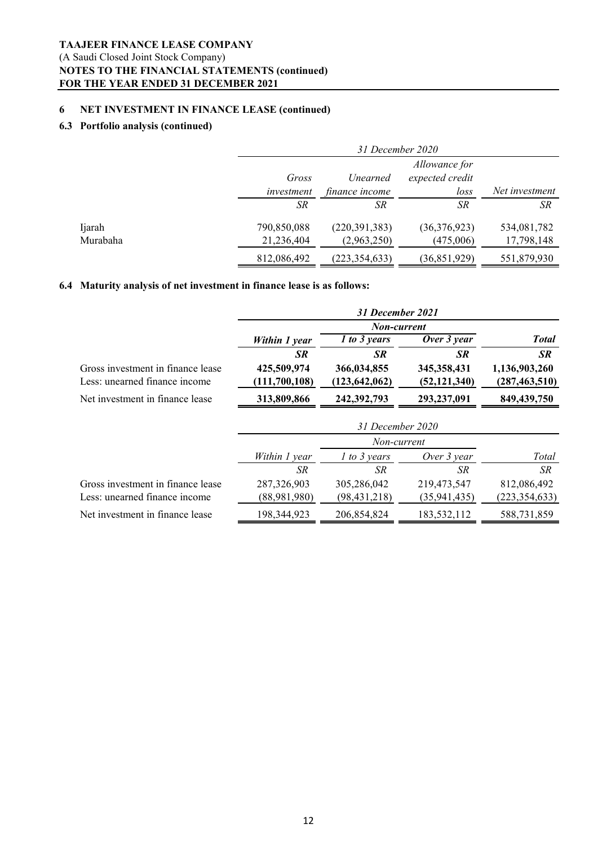# **TAAJEER FINANCE LEASE COMPANY** (A Saudi Closed Joint Stock Company) **NOTES TO THE FINANCIAL STATEMENTS (continued) FOR THE YEAR ENDED 31 DECEMBER 2021**

# **6 NET INVESTMENT IN FINANCE LEASE (continued)**

# **6.3 Portfolio analysis (continued)**

|                    |                           | 31 December 2020                  |                                          |                           |  |
|--------------------|---------------------------|-----------------------------------|------------------------------------------|---------------------------|--|
|                    | Gross<br>investment       | <i>Unearned</i><br>finance income | Allowance for<br>expected credit<br>loss | Net investment            |  |
|                    | SR                        | SR.                               | SR                                       | SR                        |  |
| Ijarah<br>Murabaha | 790,850,088<br>21,236,404 | (220, 391, 383)<br>(2,963,250)    | (36,376,923)<br>(475,006)                | 534,081,782<br>17,798,148 |  |
|                    | 812,086,492               | (223, 354, 633)                   | (36, 851, 929)                           | 551,879,930               |  |

# **6.4 Maturity analysis of net investment in finance lease is as follows:**

|                                   | 31 December 2021 |                  |                |                 |
|-----------------------------------|------------------|------------------|----------------|-----------------|
|                                   |                  | Non-current      |                |                 |
|                                   | Within 1 year    | $1$ to 3 years   | Over $3$ year  | <b>Total</b>    |
|                                   | <b>SR</b>        | <b>SR</b>        | <b>SR</b>      | <b>SR</b>       |
| Gross investment in finance lease | 425,509,974      | 366,034,855      | 345, 358, 431  | 1,136,903,260   |
| Less: unearned finance income     | (111, 700, 108)  | (123, 642, 062)  | (52, 121, 340) | (287, 463, 510) |
| Net investment in finance lease   | 313,809,866      | 242,392,793      | 293,237,091    | 849,439,750     |
|                                   |                  | 31 December 2020 |                |                 |
|                                   |                  | Non-current      |                |                 |
|                                   | Within 1 year    | $1$ to 3 years   | Over 3 year    | Total           |
|                                   | <b>SR</b>        | SR.              | SR             | <b>SR</b>       |
| Gross investment in finance lease | 287,326,903      | 305,286,042      | 219,473,547    | 812,086,492     |
| Less: unearned finance income     | (88,981,980)     | (98, 431, 218)   | (35, 941, 435) | (223, 354, 633) |
| Net investment in finance lease   | 198,344,923      | 206,854,824      | 183,532,112    | 588,731,859     |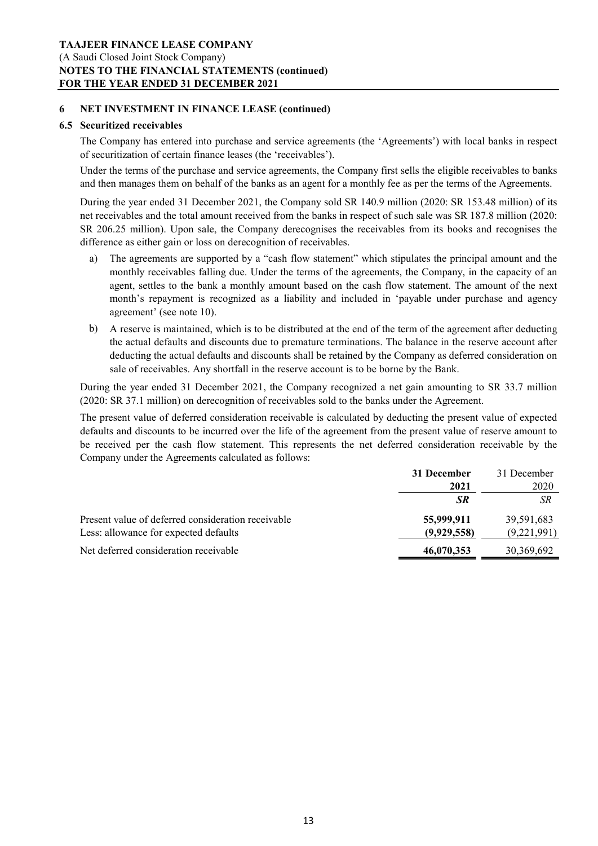# **6 NET INVESTMENT IN FINANCE LEASE (continued)**

# **6.5 Securitized receivables**

The Company has entered into purchase and service agreements (the 'Agreements') with local banks in respect of securitization of certain finance leases (the 'receivables').

Under the terms of the purchase and service agreements, the Company first sells the eligible receivables to banks and then manages them on behalf of the banks as an agent for a monthly fee as per the terms of the Agreements.

During the year ended 31 December 2021, the Company sold SR 140.9 million (2020: SR 153.48 million) of its net receivables and the total amount received from the banks in respect of such sale was SR 187.8 million (2020: SR 206.25 million). Upon sale, the Company derecognises the receivables from its books and recognises the difference as either gain or loss on derecognition of receivables.

- a) The agreements are supported by a "cash flow statement" which stipulates the principal amount and the monthly receivables falling due. Under the terms of the agreements, the Company, in the capacity of an agent, settles to the bank a monthly amount based on the cash flow statement. The amount of the next month's repayment is recognized as a liability and included in 'payable under purchase and agency agreement' (see note 10).
- b) A reserve is maintained, which is to be distributed at the end of the term of the agreement after deducting the actual defaults and discounts due to premature terminations. The balance in the reserve account after deducting the actual defaults and discounts shall be retained by the Company as deferred consideration on sale of receivables. Any shortfall in the reserve account is to be borne by the Bank.

During the year ended 31 December 2021, the Company recognized a net gain amounting to SR 33.7 million (2020: SR 37.1 million) on derecognition of receivables sold to the banks under the Agreement.

The present value of deferred consideration receivable is calculated by deducting the present value of expected defaults and discounts to be incurred over the life of the agreement from the present value of reserve amount to be received per the cash flow statement. This represents the net deferred consideration receivable by the Company under the Agreements calculated as follows:

|                                                    | 31 December | 31 December |
|----------------------------------------------------|-------------|-------------|
|                                                    | 2021        | 2020        |
|                                                    | <b>SR</b>   | SR          |
| Present value of deferred consideration receivable | 55,999,911  | 39,591,683  |
| Less: allowance for expected defaults              | (9,929,558) | (9,221,991) |
| Net deferred consideration receivable              | 46,070,353  | 30,369,692  |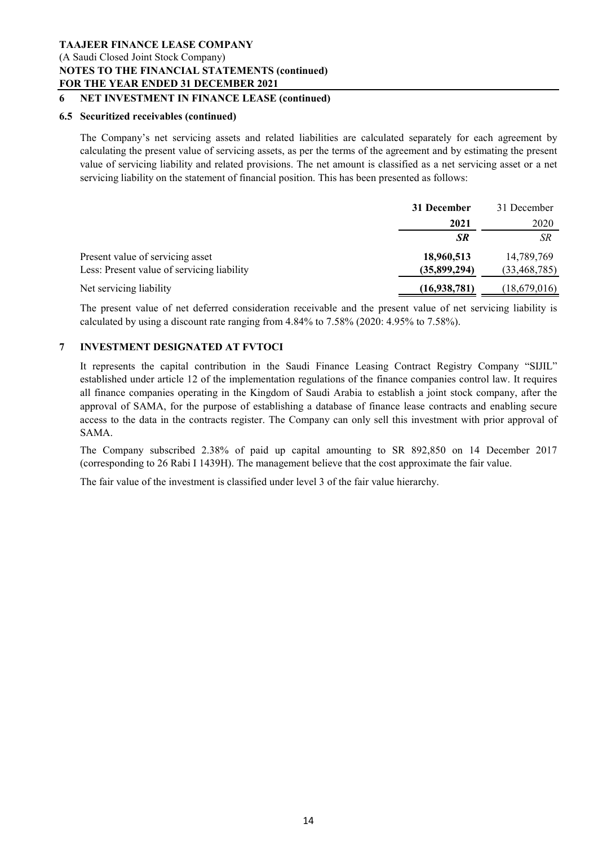# **TAAJEER FINANCE LEASE COMPANY** (A Saudi Closed Joint Stock Company) **NOTES TO THE FINANCIAL STATEMENTS (continued) FOR THE YEAR ENDED 31 DECEMBER 2021**

## **6 NET INVESTMENT IN FINANCE LEASE (continued)**

## **6.5 Securitized receivables (continued)**

The Company's net servicing assets and related liabilities are calculated separately for each agreement by calculating the present value of servicing assets, as per the terms of the agreement and by estimating the present value of servicing liability and related provisions. The net amount is classified as a net servicing asset or a net servicing liability on the statement of financial position. This has been presented as follows:

|                                            | 31 December  | 31 December    |
|--------------------------------------------|--------------|----------------|
|                                            | 2021         | 2020           |
|                                            | SR           | SR.            |
| Present value of servicing asset           | 18,960,513   | 14,789,769     |
| Less: Present value of servicing liability | (35,899,294) | (33, 468, 785) |
| Net servicing liability                    | (16,938,781) | (18,679,016)   |

The present value of net deferred consideration receivable and the present value of net servicing liability is calculated by using a discount rate ranging from 4.84% to 7.58% (2020: 4.95% to 7.58%).

## **7 INVESTMENT DESIGNATED AT FVTOCI**

It represents the capital contribution in the Saudi Finance Leasing Contract Registry Company "SIJIL" established under article 12 of the implementation regulations of the finance companies control law. It requires all finance companies operating in the Kingdom of Saudi Arabia to establish a joint stock company, after the approval of SAMA, for the purpose of establishing a database of finance lease contracts and enabling secure access to the data in the contracts register. The Company can only sell this investment with prior approval of SAMA.

The Company subscribed 2.38% of paid up capital amounting to SR 892,850 on 14 December 2017 (corresponding to 26 Rabi I 1439H). The management believe that the cost approximate the fair value.

The fair value of the investment is classified under level 3 of the fair value hierarchy.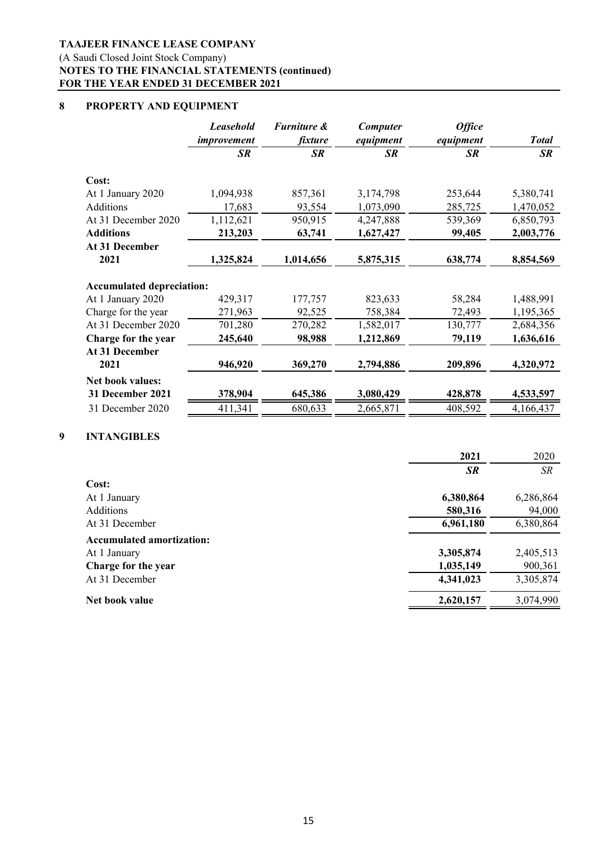# **TAAJEER FINANCE LEASE COMPANY**

(A Saudi Closed Joint Stock Company)

# **NOTES TO THE FINANCIAL STATEMENTS (continued) FOR THE YEAR ENDED 31 DECEMBER 2021**

# **8 PROPERTY AND EQUIPMENT**

| <b>Leasehold</b> | <b>Furniture &amp;</b>                                                  | <b>Computer</b>                 | <b>Office</b>                     | <b>Total</b>                     |
|------------------|-------------------------------------------------------------------------|---------------------------------|-----------------------------------|----------------------------------|
|                  |                                                                         |                                 |                                   | <b>SR</b>                        |
|                  |                                                                         |                                 |                                   |                                  |
|                  |                                                                         |                                 |                                   |                                  |
| 1,094,938        | 857,361                                                                 | 3,174,798                       | 253,644                           | 5,380,741                        |
| 17,683           | 93,554                                                                  | 1,073,090                       | 285,725                           | 1,470,052                        |
| 1,112,621        | 950,915                                                                 | 4,247,888                       | 539,369                           | 6,850,793                        |
| 213,203          | 63,741                                                                  | 1,627,427                       | 99,405                            | 2,003,776                        |
|                  |                                                                         |                                 |                                   |                                  |
| 1,325,824        | 1,014,656                                                               | 5,875,315                       | 638,774                           | 8,854,569                        |
|                  |                                                                         |                                 |                                   |                                  |
|                  |                                                                         |                                 |                                   |                                  |
|                  |                                                                         |                                 |                                   | 1,488,991                        |
| 271,963          | 92,525                                                                  | 758,384                         | 72,493                            | 1,195,365                        |
| 701,280          | 270,282                                                                 | 1,582,017                       | 130,777                           | 2,684,356                        |
| 245,640          | 98,988                                                                  | 1,212,869                       | 79,119                            | 1,636,616                        |
|                  |                                                                         |                                 |                                   |                                  |
| 946,920          | 369,270                                                                 | 2,794,886                       | 209,896                           | 4,320,972                        |
|                  |                                                                         |                                 |                                   |                                  |
| 378,904          | 645,386                                                                 | 3,080,429                       | 428,878                           | 4,533,597                        |
| 411,341          | 680,633                                                                 | 2,665,871                       | 408,592                           | 4,166,437                        |
|                  | improvement<br><b>SR</b><br><b>Accumulated depreciation:</b><br>429,317 | fixture<br><b>SR</b><br>177,757 | equipment<br><b>SR</b><br>823,633 | equipment<br><b>SR</b><br>58,284 |

# **9 INTANGIBLES**

|                                  | 2021      | 2020      |
|----------------------------------|-----------|-----------|
|                                  | <b>SR</b> | SR        |
| Cost:                            |           |           |
| At 1 January                     | 6,380,864 | 6,286,864 |
| Additions                        | 580,316   | 94,000    |
| At 31 December                   | 6,961,180 | 6,380,864 |
| <b>Accumulated amortization:</b> |           |           |
| At 1 January                     | 3,305,874 | 2,405,513 |
| Charge for the year              | 1,035,149 | 900,361   |
| At 31 December                   | 4,341,023 | 3,305,874 |
| Net book value                   | 2,620,157 | 3,074,990 |
|                                  |           |           |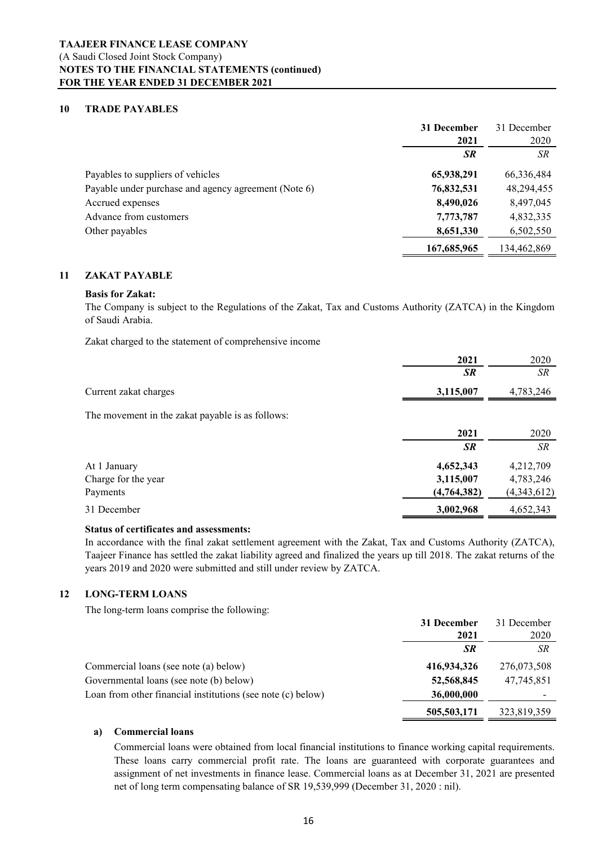#### **10 TRADE PAYABLES**

|                                                      | 31 December | 31 December |
|------------------------------------------------------|-------------|-------------|
|                                                      | 2021        | 2020        |
|                                                      | <b>SR</b>   | SR          |
| Payables to suppliers of vehicles                    | 65,938,291  | 66,336,484  |
| Payable under purchase and agency agreement (Note 6) | 76,832,531  | 48,294,455  |
| Accrued expenses                                     | 8,490,026   | 8,497,045   |
| Advance from customers                               | 7,773,787   | 4,832,335   |
| Other payables                                       | 8,651,330   | 6,502,550   |
|                                                      | 167,685,965 | 134,462,869 |

# **11 ZAKAT PAYABLE**

## **Basis for Zakat:**

The Company is subject to the Regulations of the Zakat, Tax and Customs Authority (ZATCA) in the Kingdom of Saudi Arabia.

Zakat charged to the statement of comprehensive income

|                                                  | 2021        | 2020        |
|--------------------------------------------------|-------------|-------------|
|                                                  | <b>SR</b>   | <b>SR</b>   |
| Current zakat charges                            | 3,115,007   | 4,783,246   |
| The movement in the zakat payable is as follows: |             |             |
|                                                  | 2021        | 2020        |
|                                                  | <b>SR</b>   | <b>SR</b>   |
| At 1 January                                     | 4,652,343   | 4,212,709   |
| Charge for the year                              | 3,115,007   | 4,783,246   |
| Payments                                         | (4,764,382) | (4,343,612) |
| 31 December                                      | 3,002,968   | 4,652,343   |

#### **Status of certificates and assessments:**

In accordance with the final zakat settlement agreement with the Zakat, Tax and Customs Authority (ZATCA), Taajeer Finance has settled the zakat liability agreed and finalized the years up till 2018. The zakat returns of the years 2019 and 2020 were submitted and still under review by ZATCA.

## **12 LONG-TERM LOANS**

The long-term loans comprise the following:

|                                                             | 31 December | 31 December |
|-------------------------------------------------------------|-------------|-------------|
|                                                             | 2021        | 2020        |
|                                                             | <b>SR</b>   | SR          |
| Commercial loans (see note (a) below)                       | 416,934,326 | 276,073,508 |
| Governmental loans (see note (b) below)                     | 52,568,845  | 47,745,851  |
| Loan from other financial institutions (see note (c) below) | 36,000,000  |             |
|                                                             | 505,503,171 | 323,819,359 |

## **a) Commercial loans**

Commercial loans were obtained from local financial institutions to finance working capital requirements. These loans carry commercial profit rate. The loans are guaranteed with corporate guarantees and assignment of net investments in finance lease. Commercial loans as at December 31, 2021 are presented net of long term compensating balance of SR 19,539,999 (December 31, 2020 : nil).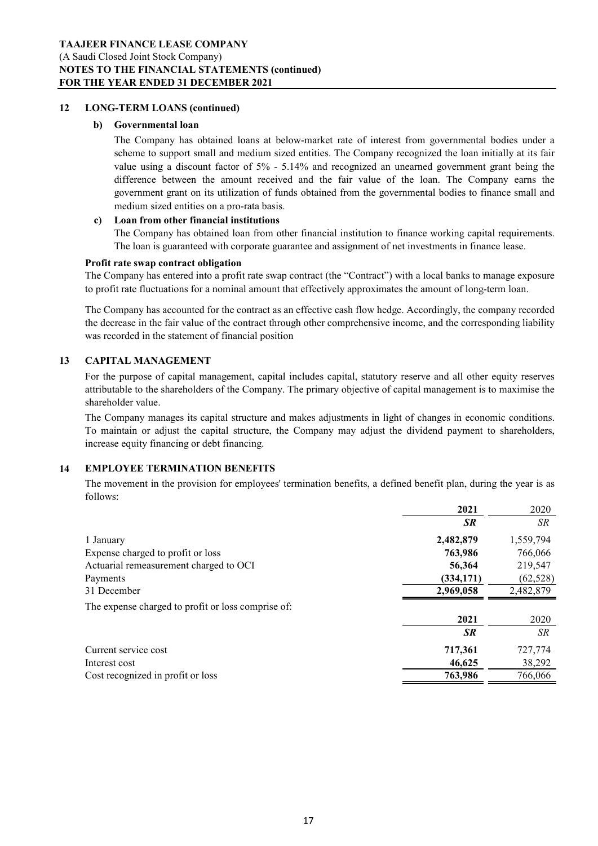## **12 LONG-TERM LOANS (continued)**

#### **b) Governmental loan**

The Company has obtained loans at below-market rate of interest from governmental bodies under a scheme to support small and medium sized entities. The Company recognized the loan initially at its fair value using a discount factor of 5% - 5.14% and recognized an unearned government grant being the difference between the amount received and the fair value of the loan. The Company earns the government grant on its utilization of funds obtained from the governmental bodies to finance small and medium sized entities on a pro-rata basis.

# **c) Loan from other financial institutions**

The Company has obtained loan from other financial institution to finance working capital requirements. The loan is guaranteed with corporate guarantee and assignment of net investments in finance lease.

#### **Profit rate swap contract obligation**

The Company has entered into a profit rate swap contract (the "Contract") with a local banks to manage exposure to profit rate fluctuations for a nominal amount that effectively approximates the amount of long-term loan.

The Company has accounted for the contract as an effective cash flow hedge. Accordingly, the company recorded the decrease in the fair value of the contract through other comprehensive income, and the corresponding liability was recorded in the statement of financial position

## **13 CAPITAL MANAGEMENT**

For the purpose of capital management, capital includes capital, statutory reserve and all other equity reserves attributable to the shareholders of the Company. The primary objective of capital management is to maximise the shareholder value.

The Company manages its capital structure and makes adjustments in light of changes in economic conditions. To maintain or adjust the capital structure, the Company may adjust the dividend payment to shareholders, increase equity financing or debt financing.

## **14 EMPLOYEE TERMINATION BENEFITS**

The movement in the provision for employees' termination benefits, a defined benefit plan, during the year is as follows:

|                                                    | 2021       | 2020      |
|----------------------------------------------------|------------|-----------|
|                                                    | <b>SR</b>  | SR        |
| 1 January                                          | 2,482,879  | 1,559,794 |
| Expense charged to profit or loss                  | 763,986    | 766,066   |
| Actuarial remeasurement charged to OCI             | 56,364     | 219,547   |
| Payments                                           | (334, 171) | (62, 528) |
| 31 December                                        | 2,969,058  | 2,482,879 |
| The expense charged to profit or loss comprise of: |            |           |
|                                                    | 2021       | 2020      |
|                                                    | <b>SR</b>  | <b>SR</b> |
| Current service cost                               | 717,361    | 727,774   |
| Interest cost                                      | 46,625     | 38,292    |
| Cost recognized in profit or loss                  | 763,986    | 766,066   |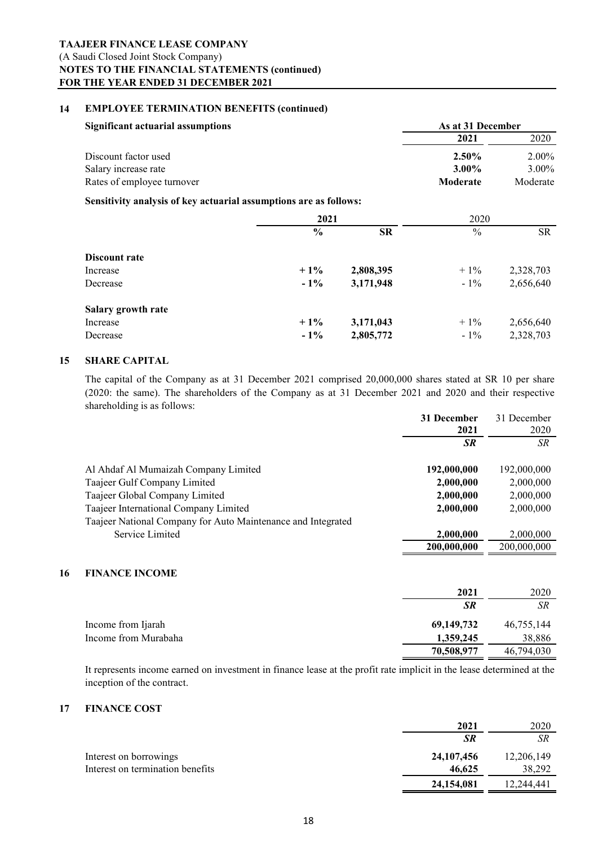#### **14 EMPLOYEE TERMINATION BENEFITS (continued)**

| <b>Significant actuarial assumptions</b> | As at 31 December |          |
|------------------------------------------|-------------------|----------|
|                                          | 2021              | 2020     |
| Discount factor used                     | 2.50%             | $2.00\%$ |
| Salary increase rate                     | $3.00\%$          | $3.00\%$ |
| Rates of employee turnover               | Moderate          | Moderate |

**Sensitivity analysis of key actuarial assumptions are as follows:**

|                    | 2021          |           | 2020          |           |
|--------------------|---------------|-----------|---------------|-----------|
|                    | $\frac{6}{9}$ | <b>SR</b> | $\frac{0}{0}$ | <b>SR</b> |
| Discount rate      |               |           |               |           |
| Increase           | $+1\%$        | 2,808,395 | $+1\%$        | 2,328,703 |
| Decrease           | $-1\%$        | 3,171,948 | $-1\%$        | 2,656,640 |
| Salary growth rate |               |           |               |           |
| Increase           | $+1\%$        | 3,171,043 | $+1\%$        | 2,656,640 |
| Decrease           | $-1\%$        | 2,805,772 | $-1\%$        | 2,328,703 |

# **15 SHARE CAPITAL**

The capital of the Company as at 31 December 2021 comprised 20,000,000 shares stated at SR 10 per share (2020: the same). The shareholders of the Company as at 31 December 2021 and 2020 and their respective shareholding is as follows:

|                                                              | 31 December | 31 December |
|--------------------------------------------------------------|-------------|-------------|
|                                                              | 2021        | 2020        |
|                                                              | <b>SR</b>   | <b>SR</b>   |
|                                                              |             |             |
| Al Ahdaf Al Mumaizah Company Limited                         | 192,000,000 | 192,000,000 |
| Taajeer Gulf Company Limited                                 | 2,000,000   | 2,000,000   |
| Taajeer Global Company Limited                               | 2,000,000   | 2,000,000   |
| Taajeer International Company Limited                        | 2,000,000   | 2,000,000   |
| Taajeer National Company for Auto Maintenance and Integrated |             |             |
| Service Limited                                              | 2,000,000   | 2,000,000   |
|                                                              | 200,000,000 | 200,000,000 |

# **16 FINANCE INCOME**

|                      | 2021       | 2020       |
|----------------------|------------|------------|
|                      | SR         | SR         |
| Income from Ijarah   | 69,149,732 | 46,755,144 |
| Income from Murabaha | 1,359,245  | 38,886     |
|                      | 70,508,977 | 46,794,030 |

It represents income earned on investment in finance lease at the profit rate implicit in the lease determined at the inception of the contract.

# **17 FINANCE COST**

|                                  | 2021       | 2020       |
|----------------------------------|------------|------------|
|                                  | <b>SR</b>  | SR         |
| Interest on borrowings           | 24,107,456 | 12,206,149 |
| Interest on termination benefits | 46,625     | 38,292     |
|                                  | 24,154,081 | 12.244.441 |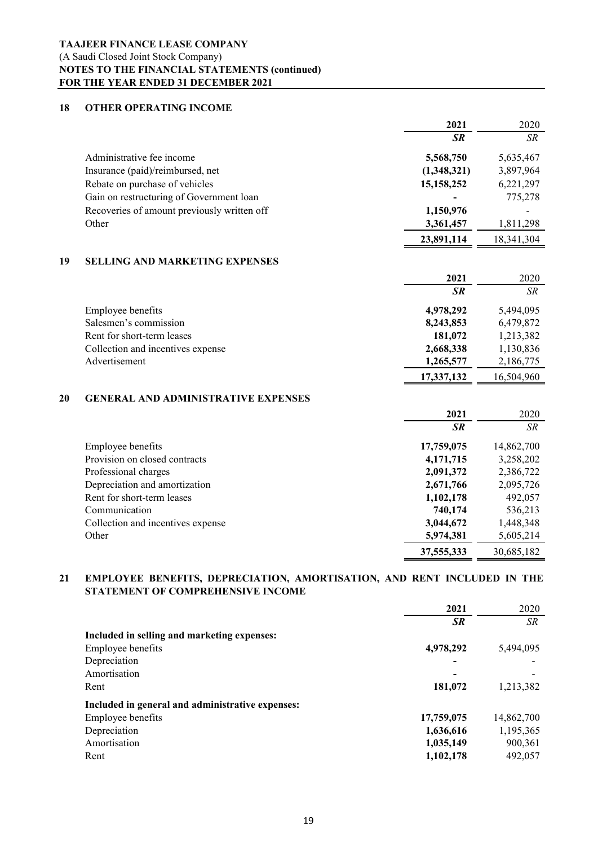# **TAAJEER FINANCE LEASE COMPANY** (A Saudi Closed Joint Stock Company) **NOTES TO THE FINANCIAL STATEMENTS (continued) FOR THE YEAR ENDED 31 DECEMBER 2021**

## **18 OTHER OPERATING INCOME**

|    |                                             | 2021        | 2020       |
|----|---------------------------------------------|-------------|------------|
|    |                                             | <b>SR</b>   | <b>SR</b>  |
|    | Administrative fee income                   | 5,568,750   | 5,635,467  |
|    | Insurance (paid)/reimbursed, net            | (1,348,321) | 3,897,964  |
|    | Rebate on purchase of vehicles              | 15,158,252  | 6,221,297  |
|    | Gain on restructuring of Government loan    |             | 775,278    |
|    | Recoveries of amount previously written off | 1,150,976   |            |
|    | Other                                       | 3,361,457   | 1,811,298  |
|    |                                             | 23,891,114  | 18,341,304 |
| 19 | <b>SELLING AND MARKETING EXPENSES</b>       |             |            |
|    |                                             | 2021        | 2020       |
|    |                                             | <b>SR</b>   | SR         |
|    | Employee benefits                           | 4,978,292   | 5,494,095  |
|    | Salesmen's commission                       | 8,243,853   | 6,479,872  |
|    | Rent for short-term leases                  | 181,072     | 1,213,382  |
|    | Collection and incentives expense           | 2,668,338   | 1,130,836  |
|    | Advertisement                               | 1,265,577   | 2,186,775  |
|    |                                             | 17,337,132  | 16,504,960 |
| 20 | <b>GENERAL AND ADMINISTRATIVE EXPENSES</b>  |             |            |
|    |                                             | 2021        | 2020       |
|    |                                             | SR          | SR         |
|    | Employee benefits                           | 17,759,075  | 14,862,700 |
|    | Provision on closed contracts               | 4,171,715   | 3,258,202  |
|    | Professional charges                        | 2,091,372   | 2,386,722  |
|    | Depreciation and amortization               | 2,671,766   | 2,095,726  |
|    | Rent for short-term leases                  | 1,102,178   | 492,057    |
|    | Communication                               | 740,174     | 536,213    |
|    | Collection and incentives expense           | 3,044,672   | 1,448,348  |
|    | Other                                       | 5,974,381   | 5,605,214  |
|    |                                             | 37,555,333  | 30,685,182 |

#### **21 EMPLOYEE BENEFITS, DEPRECIATION, AMORTISATION, AND RENT INCLUDED IN THE STATEMENT OF COMPREHENSIVE INCOME**

|                                                  | 2021                     | 2020       |
|--------------------------------------------------|--------------------------|------------|
|                                                  | SR                       | SR         |
| Included in selling and marketing expenses:      |                          |            |
| Employee benefits                                | 4,978,292                | 5,494,095  |
| Depreciation                                     | $\overline{\phantom{a}}$ |            |
| Amortisation                                     | $\overline{\phantom{a}}$ |            |
| Rent                                             | 181,072                  | 1,213,382  |
| Included in general and administrative expenses: |                          |            |
| Employee benefits                                | 17,759,075               | 14,862,700 |
| Depreciation                                     | 1,636,616                | 1,195,365  |
| Amortisation                                     | 1,035,149                | 900,361    |
| Rent                                             | 1,102,178                | 492,057    |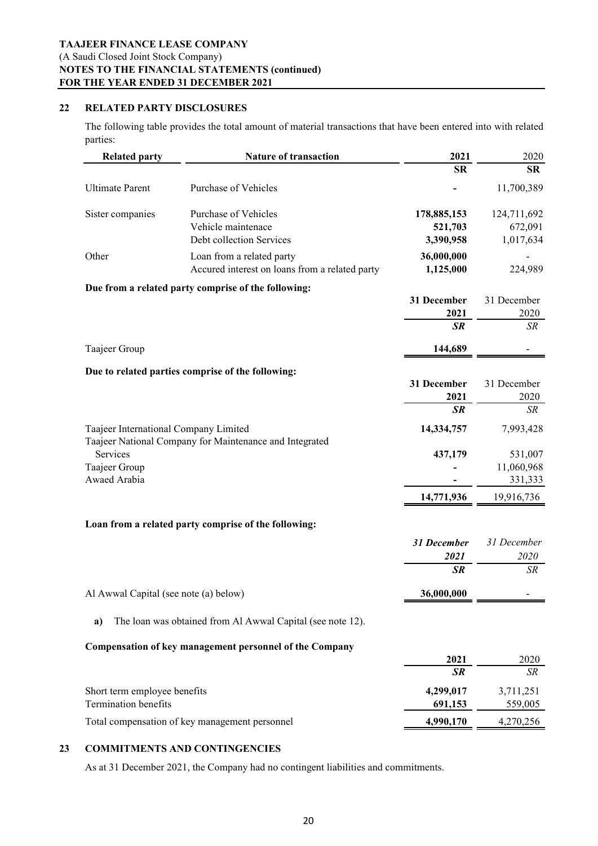## **22 RELATED PARTY DISCLOSURES**

The following table provides the total amount of material transactions that have been entered into with related parties:

| <b>Related party</b>                  | <b>Nature of transaction</b>                               | 2021        | 2020        |
|---------------------------------------|------------------------------------------------------------|-------------|-------------|
|                                       |                                                            | <b>SR</b>   | <b>SR</b>   |
| <b>Ultimate Parent</b>                | Purchase of Vehicles                                       |             | 11,700,389  |
| Sister companies                      | Purchase of Vehicles                                       | 178,885,153 | 124,711,692 |
|                                       | Vehicle maintenace                                         | 521,703     | 672,091     |
|                                       | Debt collection Services                                   | 3,390,958   | 1,017,634   |
| Other                                 | Loan from a related party                                  | 36,000,000  |             |
|                                       | Accured interest on loans from a related party             | 1,125,000   | 224,989     |
|                                       | Due from a related party comprise of the following:        |             |             |
|                                       |                                                            | 31 December | 31 December |
|                                       |                                                            | 2021        | 2020        |
|                                       |                                                            | <b>SR</b>   | SR          |
| Taajeer Group                         |                                                            | 144,689     |             |
|                                       | Due to related parties comprise of the following:          |             |             |
|                                       |                                                            | 31 December | 31 December |
|                                       |                                                            | 2021        | 2020        |
|                                       |                                                            | <b>SR</b>   | SR          |
| Taajeer International Company Limited |                                                            | 14,334,757  | 7,993,428   |
|                                       | Taajeer National Company for Maintenance and Integrated    |             |             |
| Services                              |                                                            | 437,179     | 531,007     |
| Taajeer Group                         |                                                            |             | 11,060,968  |
| Awaed Arabia                          |                                                            |             | 331,333     |
|                                       |                                                            | 14,771,936  | 19,916,736  |
|                                       | Loan from a related party comprise of the following:       |             |             |
|                                       |                                                            | 31 December | 31 December |
|                                       |                                                            | 2021        | 2020        |
|                                       |                                                            | <b>SR</b>   | SR          |
| Al Awwal Capital (see note (a) below) |                                                            | 36,000,000  |             |
|                                       |                                                            |             |             |
| a)                                    | The loan was obtained from Al Awwal Capital (see note 12). |             |             |
|                                       | Compensation of key management personnel of the Company    |             |             |
|                                       |                                                            | 2021        | 2020        |
|                                       |                                                            | <b>SR</b>   | SR          |
| Short term employee benefits          |                                                            | 4,299,017   | 3,711,251   |
| <b>Termination benefits</b>           |                                                            | 691,153     | 559,005     |
|                                       | Total compensation of key management personnel             | 4,990,170   | 4,270,256   |
|                                       |                                                            |             |             |

# **23 COMMITMENTS AND CONTINGENCIES**

As at 31 December 2021, the Company had no contingent liabilities and commitments.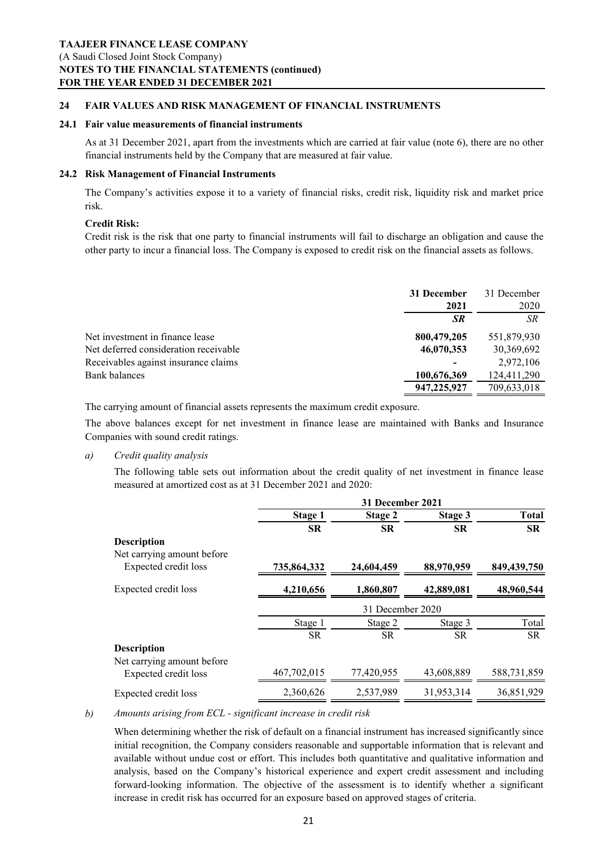#### **24.1 Fair value measurements of financial instruments**

As at 31 December 2021, apart from the investments which are carried at fair value (note 6), there are no other financial instruments held by the Company that are measured at fair value.

#### **24.2 Risk Management of Financial Instruments**

The Company's activities expose it to a variety of financial risks, credit risk, liquidity risk and market price risk.

#### **Credit Risk:**

Credit risk is the risk that one party to financial instruments will fail to discharge an obligation and cause the other party to incur a financial loss. The Company is exposed to credit risk on the financial assets as follows.

|                                       | 31 December<br>2021 | 31 December<br>2020 |
|---------------------------------------|---------------------|---------------------|
|                                       | SR                  | SR                  |
| Net investment in finance lease       | 800,479,205         | 551,879,930         |
| Net deferred consideration receivable | 46,070,353          | 30,369,692          |
| Receivables against insurance claims  |                     | 2,972,106           |
| Bank balances                         | 100,676,369         | 124,411,290         |
|                                       | 947,225,927         | 709,633,018         |

The carrying amount of financial assets represents the maximum credit exposure.

The above balances except for net investment in finance lease are maintained with Banks and Insurance Companies with sound credit ratings.

#### *a) Credit quality analysis*

The following table sets out information about the credit quality of net investment in finance lease measured at amortized cost as at 31 December 2021 and 2020:

|                            | 31 December 2021 |            |            |              |
|----------------------------|------------------|------------|------------|--------------|
|                            | <b>Stage 1</b>   | Stage 2    | Stage 3    | <b>Total</b> |
|                            | <b>SR</b>        | <b>SR</b>  | <b>SR</b>  | <b>SR</b>    |
| <b>Description</b>         |                  |            |            |              |
| Net carrying amount before |                  |            |            |              |
| Expected credit loss       | 735,864,332      | 24,604,459 | 88,970,959 | 849,439,750  |
| Expected credit loss       | 4,210,656        | 1,860,807  | 42,889,081 | 48,960,544   |
|                            | 31 December 2020 |            |            |              |
|                            | Stage 1          | Stage 2    | Stage 3    | Total        |
|                            | <b>SR</b>        | <b>SR</b>  | <b>SR</b>  | <b>SR</b>    |
| <b>Description</b>         |                  |            |            |              |
| Net carrying amount before |                  |            |            |              |
| Expected credit loss       | 467,702,015      | 77,420,955 | 43,608,889 | 588,731,859  |
| Expected credit loss       | 2,360,626        | 2,537,989  | 31,953,314 | 36,851,929   |

#### *b) Amounts arising from ECL - significant increase in credit risk*

When determining whether the risk of default on a financial instrument has increased significantly since initial recognition, the Company considers reasonable and supportable information that is relevant and available without undue cost or effort. This includes both quantitative and qualitative information and analysis, based on the Company's historical experience and expert credit assessment and including forward-looking information. The objective of the assessment is to identify whether a significant increase in credit risk has occurred for an exposure based on approved stages of criteria.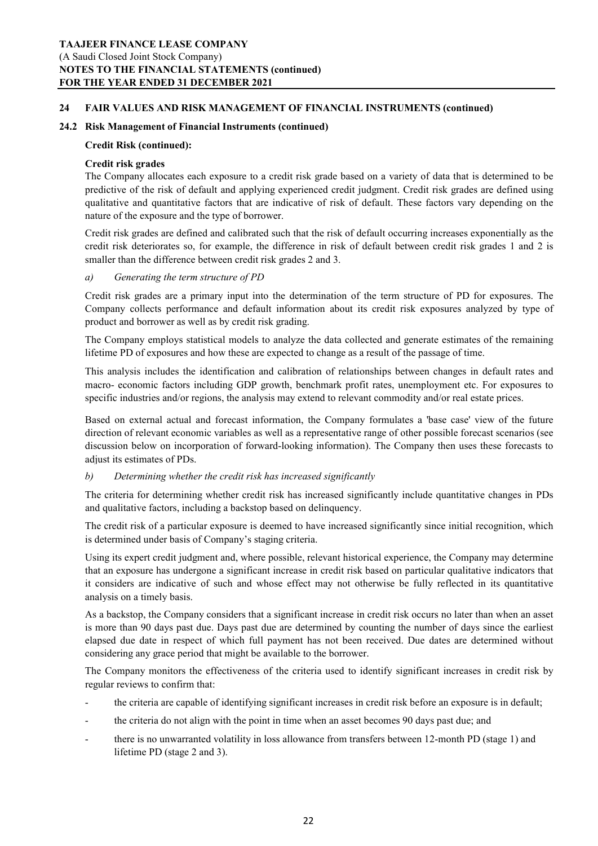## **24.2 Risk Management of Financial Instruments (continued)**

## **Credit Risk (continued):**

## **Credit risk grades**

The Company allocates each exposure to a credit risk grade based on a variety of data that is determined to be predictive of the risk of default and applying experienced credit judgment. Credit risk grades are defined using qualitative and quantitative factors that are indicative of risk of default. These factors vary depending on the nature of the exposure and the type of borrower.

Credit risk grades are defined and calibrated such that the risk of default occurring increases exponentially as the credit risk deteriorates so, for example, the difference in risk of default between credit risk grades 1 and 2 is smaller than the difference between credit risk grades 2 and 3.

## *a) Generating the term structure of PD*

Credit risk grades are a primary input into the determination of the term structure of PD for exposures. The Company collects performance and default information about its credit risk exposures analyzed by type of product and borrower as well as by credit risk grading.

The Company employs statistical models to analyze the data collected and generate estimates of the remaining lifetime PD of exposures and how these are expected to change as a result of the passage of time.

This analysis includes the identification and calibration of relationships between changes in default rates and macro- economic factors including GDP growth, benchmark profit rates, unemployment etc. For exposures to specific industries and/or regions, the analysis may extend to relevant commodity and/or real estate prices.

Based on external actual and forecast information, the Company formulates a 'base case' view of the future direction of relevant economic variables as well as a representative range of other possible forecast scenarios (see discussion below on incorporation of forward-looking information). The Company then uses these forecasts to adjust its estimates of PDs.

# *b) Determining whether the credit risk has increased significantly*

The criteria for determining whether credit risk has increased significantly include quantitative changes in PDs and qualitative factors, including a backstop based on delinquency.

The credit risk of a particular exposure is deemed to have increased significantly since initial recognition, which is determined under basis of Company's staging criteria.

Using its expert credit judgment and, where possible, relevant historical experience, the Company may determine that an exposure has undergone a significant increase in credit risk based on particular qualitative indicators that it considers are indicative of such and whose effect may not otherwise be fully reflected in its quantitative analysis on a timely basis.

As a backstop, the Company considers that a significant increase in credit risk occurs no later than when an asset is more than 90 days past due. Days past due are determined by counting the number of days since the earliest elapsed due date in respect of which full payment has not been received. Due dates are determined without considering any grace period that might be available to the borrower.

The Company monitors the effectiveness of the criteria used to identify significant increases in credit risk by regular reviews to confirm that:

- the criteria are capable of identifying significant increases in credit risk before an exposure is in default;
- the criteria do not align with the point in time when an asset becomes 90 days past due; and
- there is no unwarranted volatility in loss allowance from transfers between 12-month PD (stage 1) and lifetime PD (stage 2 and 3).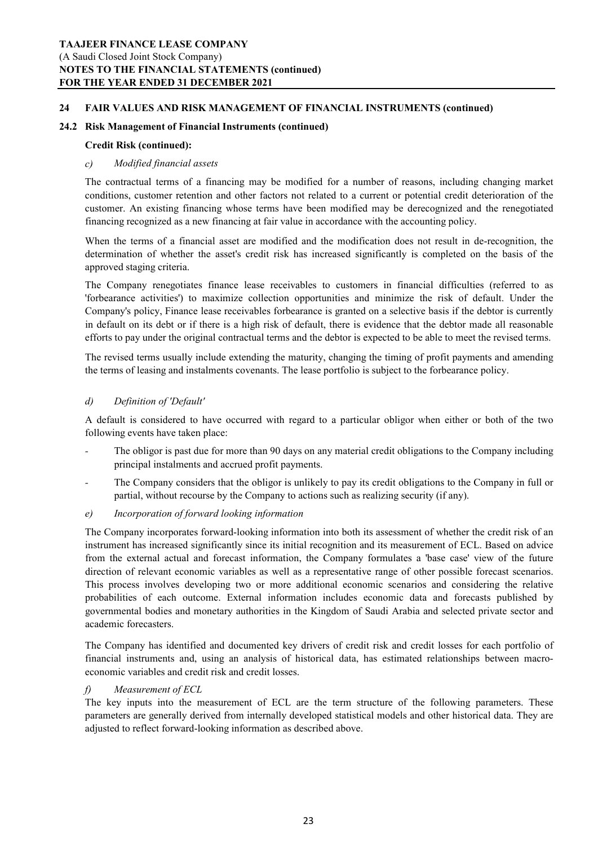## **24.2 Risk Management of Financial Instruments (continued)**

## **Credit Risk (continued):**

## *c) Modified financial assets*

The contractual terms of a financing may be modified for a number of reasons, including changing market conditions, customer retention and other factors not related to a current or potential credit deterioration of the customer. An existing financing whose terms have been modified may be derecognized and the renegotiated financing recognized as a new financing at fair value in accordance with the accounting policy.

When the terms of a financial asset are modified and the modification does not result in de-recognition, the determination of whether the asset's credit risk has increased significantly is completed on the basis of the approved staging criteria.

The Company renegotiates finance lease receivables to customers in financial difficulties (referred to as 'forbearance activities') to maximize collection opportunities and minimize the risk of default. Under the Company's policy, Finance lease receivables forbearance is granted on a selective basis if the debtor is currently in default on its debt or if there is a high risk of default, there is evidence that the debtor made all reasonable efforts to pay under the original contractual terms and the debtor is expected to be able to meet the revised terms.

The revised terms usually include extending the maturity, changing the timing of profit payments and amending the terms of leasing and instalments covenants. The lease portfolio is subject to the forbearance policy.

# *d) Definition of 'Default'*

A default is considered to have occurred with regard to a particular obligor when either or both of the two following events have taken place:

- *-* The obligor is past due for more than 90 days on any material credit obligations to the Company including principal instalments and accrued profit payments.
- *-* The Company considers that the obligor is unlikely to pay its credit obligations to the Company in full or partial, without recourse by the Company to actions such as realizing security (if any).

# *e) Incorporation of forward looking information*

The Company incorporates forward-looking information into both its assessment of whether the credit risk of an instrument has increased significantly since its initial recognition and its measurement of ECL. Based on advice from the external actual and forecast information, the Company formulates a 'base case' view of the future direction of relevant economic variables as well as a representative range of other possible forecast scenarios. This process involves developing two or more additional economic scenarios and considering the relative probabilities of each outcome. External information includes economic data and forecasts published by governmental bodies and monetary authorities in the Kingdom of Saudi Arabia and selected private sector and academic forecasters.

The Company has identified and documented key drivers of credit risk and credit losses for each portfolio of financial instruments and, using an analysis of historical data, has estimated relationships between macroeconomic variables and credit risk and credit losses.

# *f) Measurement of ECL*

The key inputs into the measurement of ECL are the term structure of the following parameters. These parameters are generally derived from internally developed statistical models and other historical data. They are adjusted to reflect forward-looking information as described above.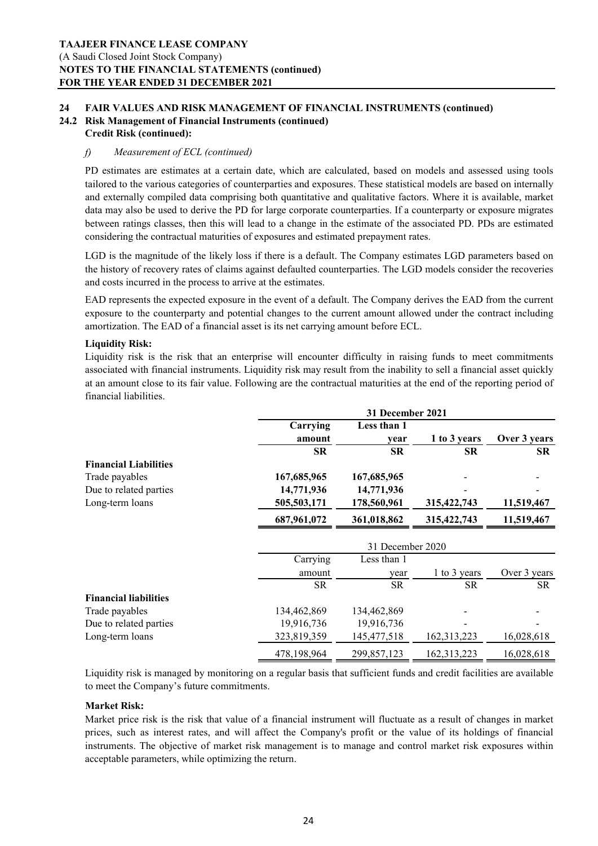**24.2 Risk Management of Financial Instruments (continued)**

# **Credit Risk (continued):**

# *f) Measurement of ECL (continued)*

PD estimates are estimates at a certain date, which are calculated, based on models and assessed using tools tailored to the various categories of counterparties and exposures. These statistical models are based on internally and externally compiled data comprising both quantitative and qualitative factors. Where it is available, market data may also be used to derive the PD for large corporate counterparties. If a counterparty or exposure migrates between ratings classes, then this will lead to a change in the estimate of the associated PD. PDs are estimated considering the contractual maturities of exposures and estimated prepayment rates.

LGD is the magnitude of the likely loss if there is a default. The Company estimates LGD parameters based on the history of recovery rates of claims against defaulted counterparties. The LGD models consider the recoveries and costs incurred in the process to arrive at the estimates.

EAD represents the expected exposure in the event of a default. The Company derives the EAD from the current exposure to the counterparty and potential changes to the current amount allowed under the contract including amortization. The EAD of a financial asset is its net carrying amount before ECL.

# **Liquidity Risk:**

Liquidity risk is the risk that an enterprise will encounter difficulty in raising funds to meet commitments associated with financial instruments. Liquidity risk may result from the inability to sell a financial asset quickly at an amount close to its fair value. Following are the contractual maturities at the end of the reporting period of financial liabilities.

|                              | 31 December 2021 |                   |               |              |
|------------------------------|------------------|-------------------|---------------|--------------|
|                              | Carrying         | Less than 1       |               |              |
|                              | amount           | year              | 1 to 3 years  | Over 3 years |
|                              | <b>SR</b>        | <b>SR</b>         | <b>SR</b>     | <b>SR</b>    |
| <b>Financial Liabilities</b> |                  |                   |               |              |
| Trade payables               | 167,685,965      | 167,685,965       |               |              |
| Due to related parties       | 14,771,936       | 14,771,936        |               |              |
| Long-term loans              | 505,503,171      | 178,560,961       | 315, 422, 743 | 11,519,467   |
|                              | 687,961,072      | 361,018,862       | 315,422,743   | 11,519,467   |
|                              |                  | 31 December 2020  |               |              |
|                              | Carrying         | Less than 1       |               |              |
|                              | amount           |                   | 1 to 3 years  | Over 3 years |
|                              | <b>SR</b>        | year<br><b>SR</b> | <b>SR</b>     | SR.          |
| <b>Financial liabilities</b> |                  |                   |               |              |
| Trade payables               | 134,462,869      | 134,462,869       |               |              |
| Due to related parties       | 19,916,736       | 19,916,736        |               |              |
| Long-term loans              | 323,819,359      | 145,477,518       | 162,313,223   | 16,028,618   |
|                              | 478,198,964      | 299,857,123       | 162, 313, 223 | 16,028,618   |

Liquidity risk is managed by monitoring on a regular basis that sufficient funds and credit facilities are available to meet the Company's future commitments.

# **Market Risk:**

Market price risk is the risk that value of a financial instrument will fluctuate as a result of changes in market prices, such as interest rates, and will affect the Company's profit or the value of its holdings of financial instruments. The objective of market risk management is to manage and control market risk exposures within acceptable parameters, while optimizing the return.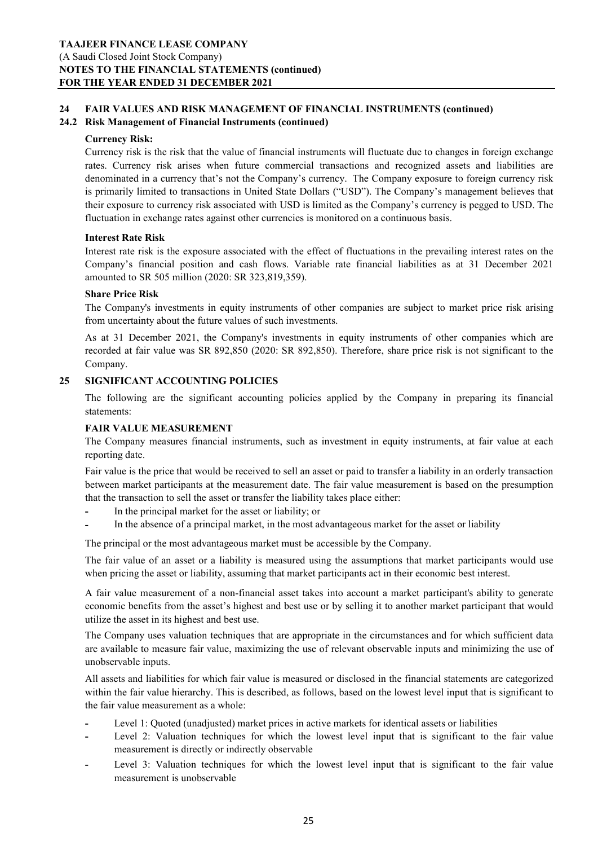## **24.2 Risk Management of Financial Instruments (continued)**

#### **Currency Risk:**

Currency risk is the risk that the value of financial instruments will fluctuate due to changes in foreign exchange rates. Currency risk arises when future commercial transactions and recognized assets and liabilities are denominated in a currency that's not the Company's currency. The Company exposure to foreign currency risk is primarily limited to transactions in United State Dollars ("USD"). The Company's management believes that their exposure to currency risk associated with USD is limited as the Company's currency is pegged to USD. The fluctuation in exchange rates against other currencies is monitored on a continuous basis.

#### **Interest Rate Risk**

Interest rate risk is the exposure associated with the effect of fluctuations in the prevailing interest rates on the Company's financial position and cash flows. Variable rate financial liabilities as at 31 December 2021 amounted to SR 505 million (2020: SR 323,819,359).

#### **Share Price Risk**

The Company's investments in equity instruments of other companies are subject to market price risk arising from uncertainty about the future values of such investments.

As at 31 December 2021, the Company's investments in equity instruments of other companies which are recorded at fair value was SR 892,850 (2020: SR 892,850). Therefore, share price risk is not significant to the Company.

# **25 SIGNIFICANT ACCOUNTING POLICIES**

The following are the significant accounting policies applied by the Company in preparing its financial statements:

## **FAIR VALUE MEASUREMENT**

The Company measures financial instruments, such as investment in equity instruments, at fair value at each reporting date.

Fair value is the price that would be received to sell an asset or paid to transfer a liability in an orderly transaction between market participants at the measurement date. The fair value measurement is based on the presumption that the transaction to sell the asset or transfer the liability takes place either:

- **-** In the principal market for the asset or liability; or
- **-** In the absence of a principal market, in the most advantageous market for the asset or liability

The principal or the most advantageous market must be accessible by the Company.

The fair value of an asset or a liability is measured using the assumptions that market participants would use when pricing the asset or liability, assuming that market participants act in their economic best interest.

A fair value measurement of a non-financial asset takes into account a market participant's ability to generate economic benefits from the asset's highest and best use or by selling it to another market participant that would utilize the asset in its highest and best use.

The Company uses valuation techniques that are appropriate in the circumstances and for which sufficient data are available to measure fair value, maximizing the use of relevant observable inputs and minimizing the use of unobservable inputs.

All assets and liabilities for which fair value is measured or disclosed in the financial statements are categorized within the fair value hierarchy. This is described, as follows, based on the lowest level input that is significant to the fair value measurement as a whole:

- **-** Level 1: Quoted (unadjusted) market prices in active markets for identical assets or liabilities
- **-** Level 2: Valuation techniques for which the lowest level input that is significant to the fair value measurement is directly or indirectly observable
- **-** Level 3: Valuation techniques for which the lowest level input that is significant to the fair value measurement is unobservable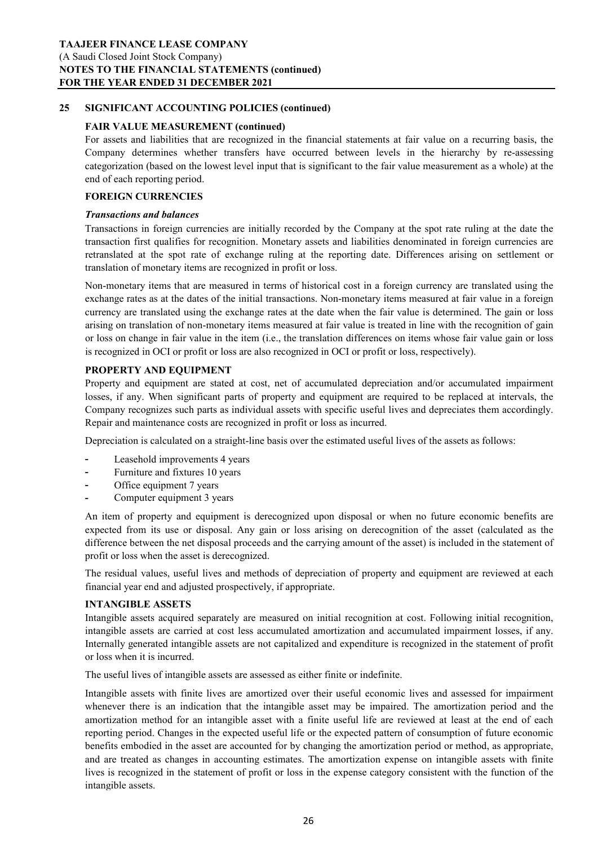#### **FAIR VALUE MEASUREMENT (continued)**

For assets and liabilities that are recognized in the financial statements at fair value on a recurring basis, the Company determines whether transfers have occurred between levels in the hierarchy by re-assessing categorization (based on the lowest level input that is significant to the fair value measurement as a whole) at the end of each reporting period.

## **FOREIGN CURRENCIES**

## *Transactions and balances*

Transactions in foreign currencies are initially recorded by the Company at the spot rate ruling at the date the transaction first qualifies for recognition. Monetary assets and liabilities denominated in foreign currencies are retranslated at the spot rate of exchange ruling at the reporting date. Differences arising on settlement or translation of monetary items are recognized in profit or loss.

Non-monetary items that are measured in terms of historical cost in a foreign currency are translated using the exchange rates as at the dates of the initial transactions. Non-monetary items measured at fair value in a foreign currency are translated using the exchange rates at the date when the fair value is determined. The gain or loss arising on translation of non-monetary items measured at fair value is treated in line with the recognition of gain or loss on change in fair value in the item (i.e., the translation differences on items whose fair value gain or loss is recognized in OCI or profit or loss are also recognized in OCI or profit or loss, respectively).

# **PROPERTY AND EQUIPMENT**

Property and equipment are stated at cost, net of accumulated depreciation and/or accumulated impairment losses, if any. When significant parts of property and equipment are required to be replaced at intervals, the Company recognizes such parts as individual assets with specific useful lives and depreciates them accordingly. Repair and maintenance costs are recognized in profit or loss as incurred.

Depreciation is calculated on a straight-line basis over the estimated useful lives of the assets as follows:

- **-** Leasehold improvements 4 years
- **-** Furniture and fixtures 10 years
- **-** Office equipment 7 years
- **-** Computer equipment 3 years

An item of property and equipment is derecognized upon disposal or when no future economic benefits are expected from its use or disposal. Any gain or loss arising on derecognition of the asset (calculated as the difference between the net disposal proceeds and the carrying amount of the asset) is included in the statement of profit or loss when the asset is derecognized.

The residual values, useful lives and methods of depreciation of property and equipment are reviewed at each financial year end and adjusted prospectively, if appropriate.

#### **INTANGIBLE ASSETS**

Intangible assets acquired separately are measured on initial recognition at cost. Following initial recognition, intangible assets are carried at cost less accumulated amortization and accumulated impairment losses, if any. Internally generated intangible assets are not capitalized and expenditure is recognized in the statement of profit or loss when it is incurred.

The useful lives of intangible assets are assessed as either finite or indefinite.

Intangible assets with finite lives are amortized over their useful economic lives and assessed for impairment whenever there is an indication that the intangible asset may be impaired. The amortization period and the amortization method for an intangible asset with a finite useful life are reviewed at least at the end of each reporting period. Changes in the expected useful life or the expected pattern of consumption of future economic benefits embodied in the asset are accounted for by changing the amortization period or method, as appropriate, and are treated as changes in accounting estimates. The amortization expense on intangible assets with finite lives is recognized in the statement of profit or loss in the expense category consistent with the function of the intangible assets.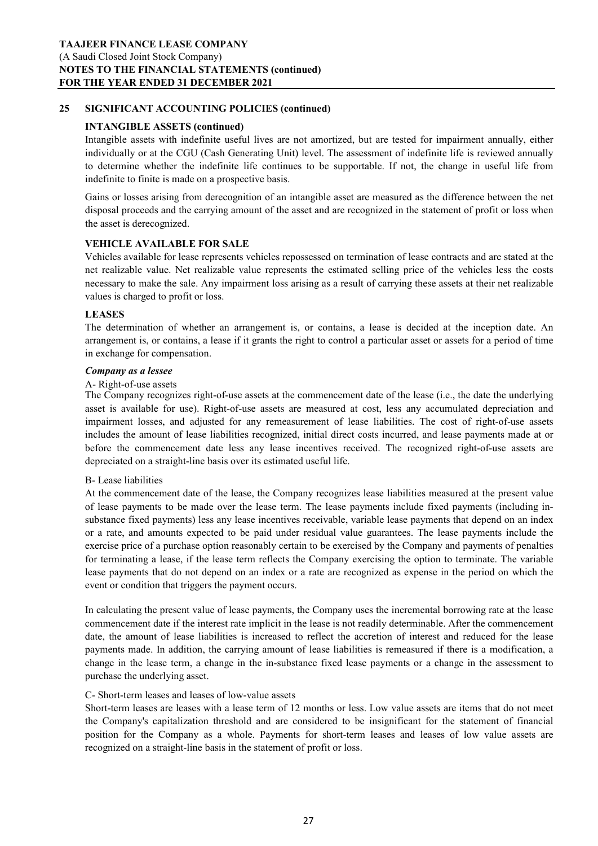## **INTANGIBLE ASSETS (continued)**

Intangible assets with indefinite useful lives are not amortized, but are tested for impairment annually, either individually or at the CGU (Cash Generating Unit) level. The assessment of indefinite life is reviewed annually to determine whether the indefinite life continues to be supportable. If not, the change in useful life from indefinite to finite is made on a prospective basis.

Gains or losses arising from derecognition of an intangible asset are measured as the difference between the net disposal proceeds and the carrying amount of the asset and are recognized in the statement of profit or loss when the asset is derecognized.

# **VEHICLE AVAILABLE FOR SALE**

Vehicles available for lease represents vehicles repossessed on termination of lease contracts and are stated at the net realizable value. Net realizable value represents the estimated selling price of the vehicles less the costs necessary to make the sale. Any impairment loss arising as a result of carrying these assets at their net realizable values is charged to profit or loss.

## **LEASES**

The determination of whether an arrangement is, or contains, a lease is decided at the inception date. An arrangement is, or contains, a lease if it grants the right to control a particular asset or assets for a period of time in exchange for compensation.

#### *Company as a lessee*

#### A- Right-of-use assets

The Company recognizes right-of-use assets at the commencement date of the lease (i.e., the date the underlying asset is available for use). Right-of-use assets are measured at cost, less any accumulated depreciation and impairment losses, and adjusted for any remeasurement of lease liabilities. The cost of right-of-use assets includes the amount of lease liabilities recognized, initial direct costs incurred, and lease payments made at or before the commencement date less any lease incentives received. The recognized right-of-use assets are depreciated on a straight-line basis over its estimated useful life.

#### B- Lease liabilities

At the commencement date of the lease, the Company recognizes lease liabilities measured at the present value of lease payments to be made over the lease term. The lease payments include fixed payments (including insubstance fixed payments) less any lease incentives receivable, variable lease payments that depend on an index or a rate, and amounts expected to be paid under residual value guarantees. The lease payments include the exercise price of a purchase option reasonably certain to be exercised by the Company and payments of penalties for terminating a lease, if the lease term reflects the Company exercising the option to terminate. The variable lease payments that do not depend on an index or a rate are recognized as expense in the period on which the event or condition that triggers the payment occurs.

In calculating the present value of lease payments, the Company uses the incremental borrowing rate at the lease commencement date if the interest rate implicit in the lease is not readily determinable. After the commencement date, the amount of lease liabilities is increased to reflect the accretion of interest and reduced for the lease payments made. In addition, the carrying amount of lease liabilities is remeasured if there is a modification, a change in the lease term, a change in the in-substance fixed lease payments or a change in the assessment to purchase the underlying asset.

## C- Short-term leases and leases of low-value assets

Short-term leases are leases with a lease term of 12 months or less. Low value assets are items that do not meet the Company's capitalization threshold and are considered to be insignificant for the statement of financial position for the Company as a whole. Payments for short-term leases and leases of low value assets are recognized on a straight-line basis in the statement of profit or loss.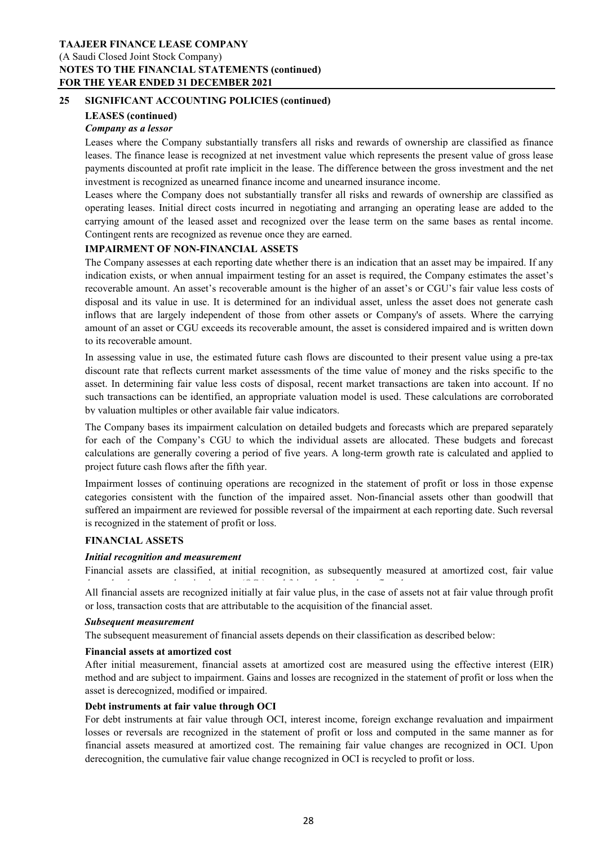# **LEASES (continued)**

# *Company as a lessor*

Leases where the Company substantially transfers all risks and rewards of ownership are classified as finance leases. The finance lease is recognized at net investment value which represents the present value of gross lease payments discounted at profit rate implicit in the lease. The difference between the gross investment and the net investment is recognized as unearned finance income and unearned insurance income.

Leases where the Company does not substantially transfer all risks and rewards of ownership are classified as operating leases. Initial direct costs incurred in negotiating and arranging an operating lease are added to the carrying amount of the leased asset and recognized over the lease term on the same bases as rental income. Contingent rents are recognized as revenue once they are earned.

## **IMPAIRMENT OF NON-FINANCIAL ASSETS**

The Company assesses at each reporting date whether there is an indication that an asset may be impaired. If any indication exists, or when annual impairment testing for an asset is required, the Company estimates the asset's recoverable amount. An asset's recoverable amount is the higher of an asset's or CGU's fair value less costs of disposal and its value in use. It is determined for an individual asset, unless the asset does not generate cash inflows that are largely independent of those from other assets or Company's of assets. Where the carrying amount of an asset or CGU exceeds its recoverable amount, the asset is considered impaired and is written down to its recoverable amount.

In assessing value in use, the estimated future cash flows are discounted to their present value using a pre-tax discount rate that reflects current market assessments of the time value of money and the risks specific to the asset. In determining fair value less costs of disposal, recent market transactions are taken into account. If no such transactions can be identified, an appropriate valuation model is used. These calculations are corroborated by valuation multiples or other available fair value indicators.

The Company bases its impairment calculation on detailed budgets and forecasts which are prepared separately for each of the Company's CGU to which the individual assets are allocated. These budgets and forecast calculations are generally covering a period of five years. A long-term growth rate is calculated and applied to project future cash flows after the fifth year.

Impairment losses of continuing operations are recognized in the statement of profit or loss in those expense categories consistent with the function of the impaired asset. Non-financial assets other than goodwill that suffered an impairment are reviewed for possible reversal of the impairment at each reporting date. Such reversal is recognized in the statement of profit or loss.

# **FINANCIAL ASSETS**

#### *Initial recognition and measurement*

Financial assets are classified, at initial recognition, as subsequently measured at amortized cost, fair value

h h h h h h i i d fall an dùthchadh an chomhair an dùthchadh an dùthchadh an dùthchadh an dùthchadh an dùthcha<br>Daoine an dùthchadh an dùthchadh an dùthchadh an dùthchadh an dùthchadh an dùthchadh an dùthchadh an dùthchadh All financial assets are recognized initially at fair value plus, in the case of assets not at fair value through profit or loss, transaction costs that are attributable to the acquisition of the financial asset.

#### *Subsequent measurement*

The subsequent measurement of financial assets depends on their classification as described below:

#### **Financial assets at amortized cost**

After initial measurement, financial assets at amortized cost are measured using the effective interest (EIR) method and are subject to impairment. Gains and losses are recognized in the statement of profit or loss when the asset is derecognized, modified or impaired.

#### **Debt instruments at fair value through OCI**

For debt instruments at fair value through OCI, interest income, foreign exchange revaluation and impairment losses or reversals are recognized in the statement of profit or loss and computed in the same manner as for financial assets measured at amortized cost. The remaining fair value changes are recognized in OCI. Upon derecognition, the cumulative fair value change recognized in OCI is recycled to profit or loss.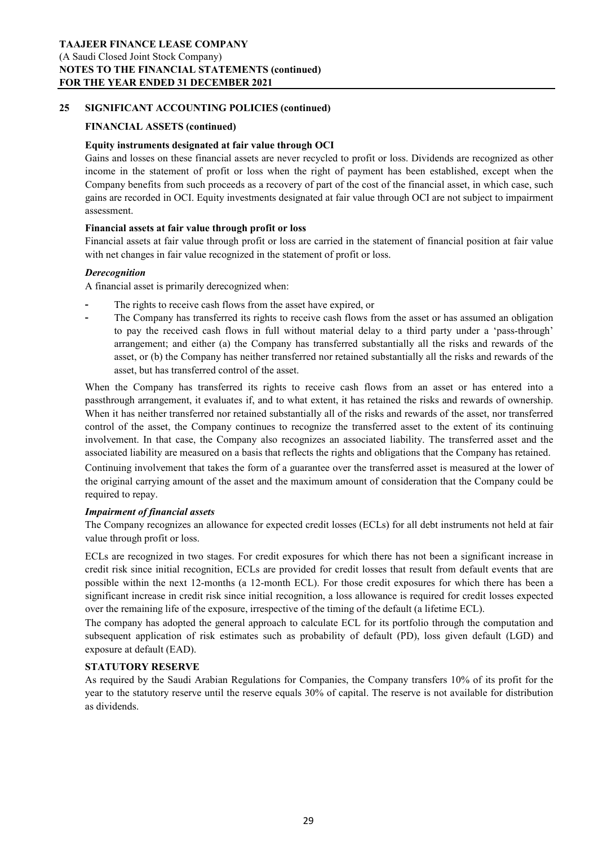## **FINANCIAL ASSETS (continued)**

## **Equity instruments designated at fair value through OCI**

Gains and losses on these financial assets are never recycled to profit or loss. Dividends are recognized as other income in the statement of profit or loss when the right of payment has been established, except when the Company benefits from such proceeds as a recovery of part of the cost of the financial asset, in which case, such gains are recorded in OCI. Equity investments designated at fair value through OCI are not subject to impairment assessment.

## **Financial assets at fair value through profit or loss**

Financial assets at fair value through profit or loss are carried in the statement of financial position at fair value with net changes in fair value recognized in the statement of profit or loss.

## *Derecognition*

A financial asset is primarily derecognized when:

- The rights to receive cash flows from the asset have expired, or
- **-** The Company has transferred its rights to receive cash flows from the asset or has assumed an obligation to pay the received cash flows in full without material delay to a third party under a 'pass-through' arrangement; and either (a) the Company has transferred substantially all the risks and rewards of the asset, or (b) the Company has neither transferred nor retained substantially all the risks and rewards of the asset, but has transferred control of the asset.

When the Company has transferred its rights to receive cash flows from an asset or has entered into a passthrough arrangement, it evaluates if, and to what extent, it has retained the risks and rewards of ownership. When it has neither transferred nor retained substantially all of the risks and rewards of the asset, nor transferred control of the asset, the Company continues to recognize the transferred asset to the extent of its continuing involvement. In that case, the Company also recognizes an associated liability. The transferred asset and the associated liability are measured on a basis that reflects the rights and obligations that the Company has retained.

Continuing involvement that takes the form of a guarantee over the transferred asset is measured at the lower of the original carrying amount of the asset and the maximum amount of consideration that the Company could be required to repay.

## *Impairment of financial assets*

The Company recognizes an allowance for expected credit losses (ECLs) for all debt instruments not held at fair value through profit or loss.

ECLs are recognized in two stages. For credit exposures for which there has not been a significant increase in credit risk since initial recognition, ECLs are provided for credit losses that result from default events that are possible within the next 12-months (a 12-month ECL). For those credit exposures for which there has been a significant increase in credit risk since initial recognition, a loss allowance is required for credit losses expected over the remaining life of the exposure, irrespective of the timing of the default (a lifetime ECL).

The company has adopted the general approach to calculate ECL for its portfolio through the computation and subsequent application of risk estimates such as probability of default (PD), loss given default (LGD) and exposure at default (EAD).

#### **STATUTORY RESERVE**

As required by the Saudi Arabian Regulations for Companies, the Company transfers 10% of its profit for the year to the statutory reserve until the reserve equals 30% of capital. The reserve is not available for distribution as dividends.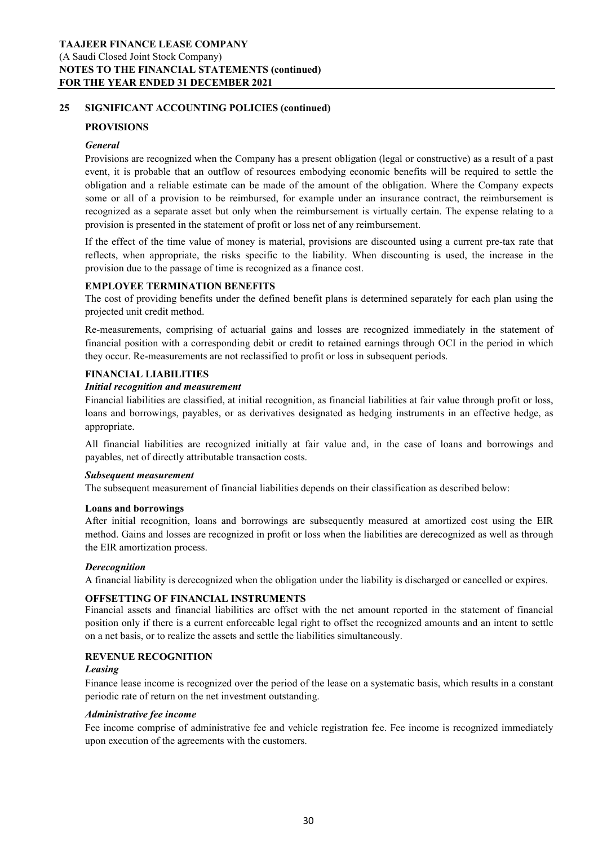# **PROVISIONS**

## *General*

Provisions are recognized when the Company has a present obligation (legal or constructive) as a result of a past event, it is probable that an outflow of resources embodying economic benefits will be required to settle the obligation and a reliable estimate can be made of the amount of the obligation. Where the Company expects some or all of a provision to be reimbursed, for example under an insurance contract, the reimbursement is recognized as a separate asset but only when the reimbursement is virtually certain. The expense relating to a provision is presented in the statement of profit or loss net of any reimbursement.

If the effect of the time value of money is material, provisions are discounted using a current pre-tax rate that reflects, when appropriate, the risks specific to the liability. When discounting is used, the increase in the provision due to the passage of time is recognized as a finance cost.

# **EMPLOYEE TERMINATION BENEFITS**

The cost of providing benefits under the defined benefit plans is determined separately for each plan using the projected unit credit method.

Re-measurements, comprising of actuarial gains and losses are recognized immediately in the statement of financial position with a corresponding debit or credit to retained earnings through OCI in the period in which they occur. Re-measurements are not reclassified to profit or loss in subsequent periods.

## **FINANCIAL LIABILITIES**

#### *Initial recognition and measurement*

Financial liabilities are classified, at initial recognition, as financial liabilities at fair value through profit or loss, loans and borrowings, payables, or as derivatives designated as hedging instruments in an effective hedge, as appropriate.

All financial liabilities are recognized initially at fair value and, in the case of loans and borrowings and payables, net of directly attributable transaction costs.

#### *Subsequent measurement*

The subsequent measurement of financial liabilities depends on their classification as described below:

#### **Loans and borrowings**

After initial recognition, loans and borrowings are subsequently measured at amortized cost using the EIR method. Gains and losses are recognized in profit or loss when the liabilities are derecognized as well as through the EIR amortization process.

#### *Derecognition*

A financial liability is derecognized when the obligation under the liability is discharged or cancelled or expires.

# **OFFSETTING OF FINANCIAL INSTRUMENTS**

Financial assets and financial liabilities are offset with the net amount reported in the statement of financial position only if there is a current enforceable legal right to offset the recognized amounts and an intent to settle on a net basis, or to realize the assets and settle the liabilities simultaneously.

#### **REVENUE RECOGNITION**

#### *Leasing*

Finance lease income is recognized over the period of the lease on a systematic basis, which results in a constant periodic rate of return on the net investment outstanding.

#### *Administrative fee income*

Fee income comprise of administrative fee and vehicle registration fee. Fee income is recognized immediately upon execution of the agreements with the customers.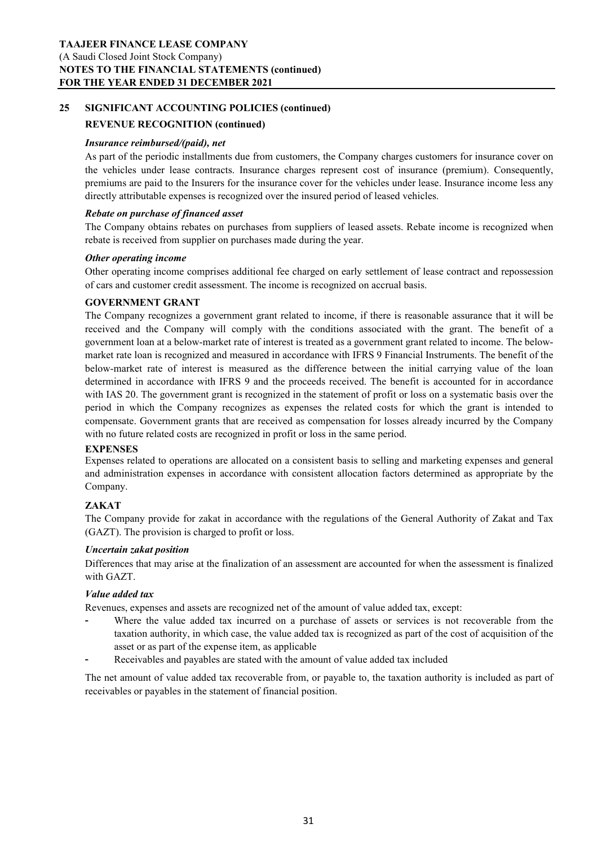# **REVENUE RECOGNITION (continued)**

#### *Insurance reimbursed/(paid), net*

As part of the periodic installments due from customers, the Company charges customers for insurance cover on the vehicles under lease contracts. Insurance charges represent cost of insurance (premium). Consequently, premiums are paid to the Insurers for the insurance cover for the vehicles under lease. Insurance income less any directly attributable expenses is recognized over the insured period of leased vehicles.

#### *Rebate on purchase of financed asset*

The Company obtains rebates on purchases from suppliers of leased assets. Rebate income is recognized when rebate is received from supplier on purchases made during the year.

#### *Other operating income*

Other operating income comprises additional fee charged on early settlement of lease contract and repossession of cars and customer credit assessment. The income is recognized on accrual basis.

# **GOVERNMENT GRANT**

The Company recognizes a government grant related to income, if there is reasonable assurance that it will be received and the Company will comply with the conditions associated with the grant. The benefit of a government loan at a below-market rate of interest is treated as a government grant related to income. The belowmarket rate loan is recognized and measured in accordance with IFRS 9 Financial Instruments. The benefit of the below-market rate of interest is measured as the difference between the initial carrying value of the loan determined in accordance with IFRS 9 and the proceeds received. The benefit is accounted for in accordance with IAS 20. The government grant is recognized in the statement of profit or loss on a systematic basis over the period in which the Company recognizes as expenses the related costs for which the grant is intended to compensate. Government grants that are received as compensation for losses already incurred by the Company with no future related costs are recognized in profit or loss in the same period.

#### **EXPENSES**

Expenses related to operations are allocated on a consistent basis to selling and marketing expenses and general and administration expenses in accordance with consistent allocation factors determined as appropriate by the Company.

# **ZAKAT**

The Company provide for zakat in accordance with the regulations of the General Authority of Zakat and Tax (GAZT). The provision is charged to profit or loss.

#### *Uncertain zakat position*

Differences that may arise at the finalization of an assessment are accounted for when the assessment is finalized with GAZT.

#### *Value added tax*

Revenues, expenses and assets are recognized net of the amount of value added tax, except:

- **-** Where the value added tax incurred on a purchase of assets or services is not recoverable from the taxation authority, in which case, the value added tax is recognized as part of the cost of acquisition of the asset or as part of the expense item, as applicable
- **-** Receivables and payables are stated with the amount of value added tax included

The net amount of value added tax recoverable from, or payable to, the taxation authority is included as part of receivables or payables in the statement of financial position.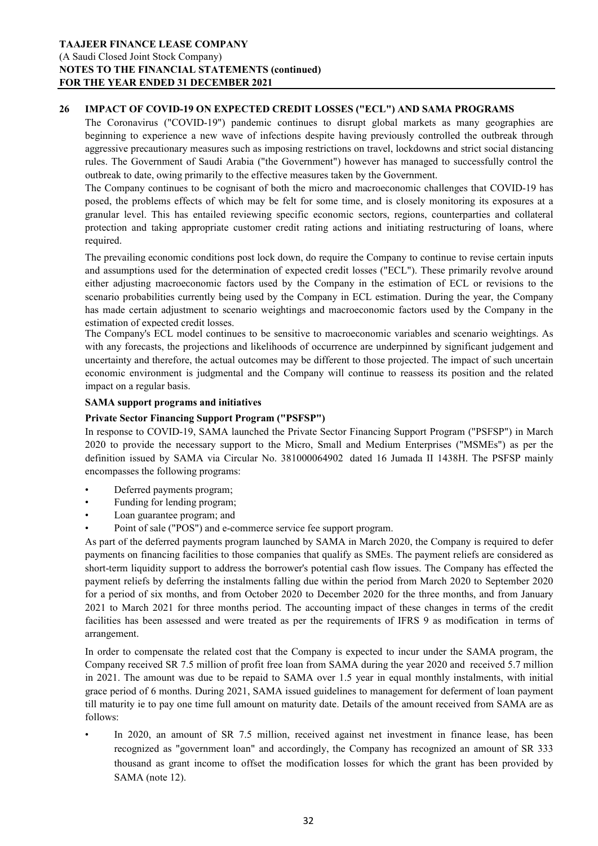## **26 IMPACT OF COVID-19 ON EXPECTED CREDIT LOSSES ("ECL") AND SAMA PROGRAMS**

The Coronavirus ("COVID-19") pandemic continues to disrupt global markets as many geographies are beginning to experience a new wave of infections despite having previously controlled the outbreak through aggressive precautionary measures such as imposing restrictions on travel, lockdowns and strict social distancing rules. The Government of Saudi Arabia ("the Government") however has managed to successfully control the outbreak to date, owing primarily to the effective measures taken by the Government.

The Company continues to be cognisant of both the micro and macroeconomic challenges that COVID-19 has posed, the problems effects of which may be felt for some time, and is closely monitoring its exposures at a granular level. This has entailed reviewing specific economic sectors, regions, counterparties and collateral protection and taking appropriate customer credit rating actions and initiating restructuring of loans, where required.

The prevailing economic conditions post lock down, do require the Company to continue to revise certain inputs and assumptions used for the determination of expected credit losses ("ECL"). These primarily revolve around either adjusting macroeconomic factors used by the Company in the estimation of ECL or revisions to the scenario probabilities currently being used by the Company in ECL estimation. During the year, the Company has made certain adjustment to scenario weightings and macroeconomic factors used by the Company in the estimation of expected credit losses.

The Company's ECL model continues to be sensitive to macroeconomic variables and scenario weightings. As with any forecasts, the projections and likelihoods of occurrence are underpinned by significant judgement and uncertainty and therefore, the actual outcomes may be different to those projected. The impact of such uncertain economic environment is judgmental and the Company will continue to reassess its position and the related impact on a regular basis.

## **SAMA support programs and initiatives**

## **Private Sector Financing Support Program ("PSFSP")**

In response to COVID-19, SAMA launched the Private Sector Financing Support Program ("PSFSP") in March 2020 to provide the necessary support to the Micro, Small and Medium Enterprises ("MSMEs") as per the definition issued by SAMA via Circular No. 381000064902 dated 16 Jumada II 1438H. The PSFSP mainly encompasses the following programs:

- Deferred payments program;
- Funding for lending program;
- Loan guarantee program; and
- Point of sale ("POS") and e-commerce service fee support program.

As part of the deferred payments program launched by SAMA in March 2020, the Company is required to defer payments on financing facilities to those companies that qualify as SMEs. The payment reliefs are considered as short-term liquidity support to address the borrower's potential cash flow issues. The Company has effected the payment reliefs by deferring the instalments falling due within the period from March 2020 to September 2020 for a period of six months, and from October 2020 to December 2020 for the three months, and from January 2021 to March 2021 for three months period. The accounting impact of these changes in terms of the credit facilities has been assessed and were treated as per the requirements of IFRS 9 as modification in terms of arrangement.

In order to compensate the related cost that the Company is expected to incur under the SAMA program, the Company received SR 7.5 million of profit free loan from SAMA during the year 2020 and received 5.7 million in 2021. The amount was due to be repaid to SAMA over 1.5 year in equal monthly instalments, with initial grace period of 6 months. During 2021, SAMA issued guidelines to management for deferment of loan payment till maturity ie to pay one time full amount on maturity date. Details of the amount received from SAMA are as follows:

• In 2020, an amount of SR 7.5 million, received against net investment in finance lease, has been recognized as "government loan" and accordingly, the Company has recognized an amount of SR 333 thousand as grant income to offset the modification losses for which the grant has been provided by SAMA (note 12).